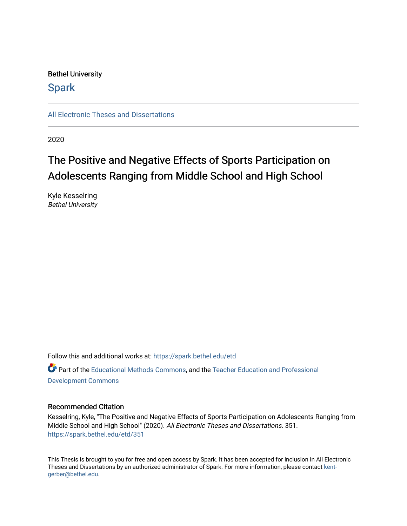# Bethel University

# **Spark**

[All Electronic Theses and Dissertations](https://spark.bethel.edu/etd) 

2020

# The Positive and Negative Effects of Sports Participation on Adolescents Ranging from Middle School and High School

Kyle Kesselring Bethel University

Follow this and additional works at: [https://spark.bethel.edu/etd](https://spark.bethel.edu/etd?utm_source=spark.bethel.edu%2Fetd%2F351&utm_medium=PDF&utm_campaign=PDFCoverPages) Part of the [Educational Methods Commons,](http://network.bepress.com/hgg/discipline/1227?utm_source=spark.bethel.edu%2Fetd%2F351&utm_medium=PDF&utm_campaign=PDFCoverPages) and the [Teacher Education and Professional](http://network.bepress.com/hgg/discipline/803?utm_source=spark.bethel.edu%2Fetd%2F351&utm_medium=PDF&utm_campaign=PDFCoverPages)  [Development Commons](http://network.bepress.com/hgg/discipline/803?utm_source=spark.bethel.edu%2Fetd%2F351&utm_medium=PDF&utm_campaign=PDFCoverPages) 

# Recommended Citation

Kesselring, Kyle, "The Positive and Negative Effects of Sports Participation on Adolescents Ranging from Middle School and High School" (2020). All Electronic Theses and Dissertations. 351. [https://spark.bethel.edu/etd/351](https://spark.bethel.edu/etd/351?utm_source=spark.bethel.edu%2Fetd%2F351&utm_medium=PDF&utm_campaign=PDFCoverPages)

This Thesis is brought to you for free and open access by Spark. It has been accepted for inclusion in All Electronic Theses and Dissertations by an authorized administrator of Spark. For more information, please contact [kent](mailto:kent-gerber@bethel.edu)[gerber@bethel.edu.](mailto:kent-gerber@bethel.edu)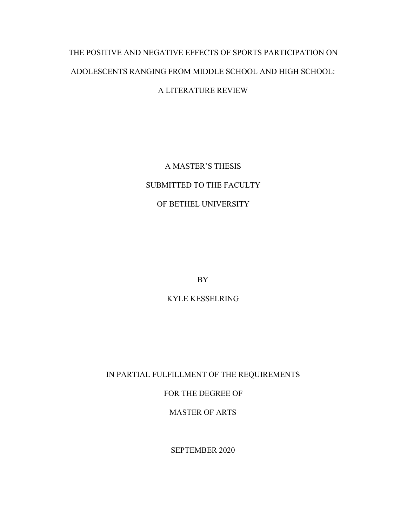# THE POSITIVE AND NEGATIVE EFFECTS OF SPORTS PARTICIPATION ON ADOLESCENTS RANGING FROM MIDDLE SCHOOL AND HIGH SCHOOL:

# A LITERATURE REVIEW

A MASTER'S THESIS SUBMITTED TO THE FACULTY OF BETHEL UNIVERSITY

BY

KYLE KESSELRING

IN PARTIAL FULFILLMENT OF THE REQUIREMENTS

FOR THE DEGREE OF

MASTER OF ARTS

SEPTEMBER 2020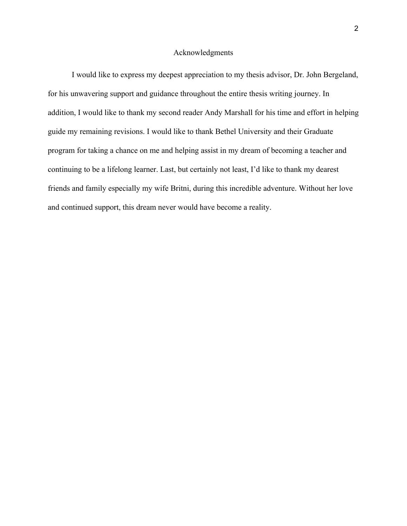#### Acknowledgments

I would like to express my deepest appreciation to my thesis advisor, Dr. John Bergeland, for his unwavering support and guidance throughout the entire thesis writing journey. In addition, I would like to thank my second reader Andy Marshall for his time and effort in helping guide my remaining revisions. I would like to thank Bethel University and their Graduate program for taking a chance on me and helping assist in my dream of becoming a teacher and continuing to be a lifelong learner. Last, but certainly not least, I'd like to thank my dearest friends and family especially my wife Britni, during this incredible adventure. Without her love and continued support, this dream never would have become a reality.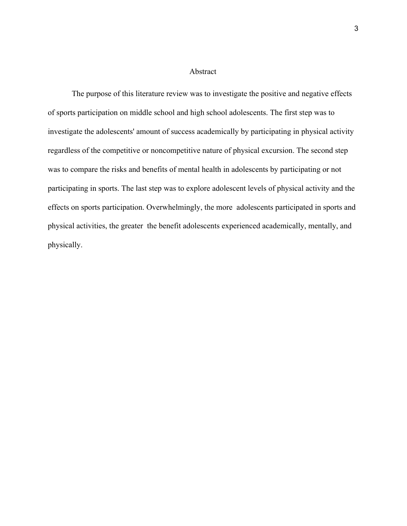#### Abstract

The purpose of this literature review was to investigate the positive and negative effects of sports participation on middle school and high school adolescents. The first step was to investigate the adolescents' amount of success academically by participating in physical activity regardless of the competitive or noncompetitive nature of physical excursion. The second step was to compare the risks and benefits of mental health in adolescents by participating or not participating in sports. The last step was to explore adolescent levels of physical activity and the effects on sports participation. Overwhelmingly, the more adolescents participated in sports and physical activities, the greater the benefit adolescents experienced academically, mentally, and physically.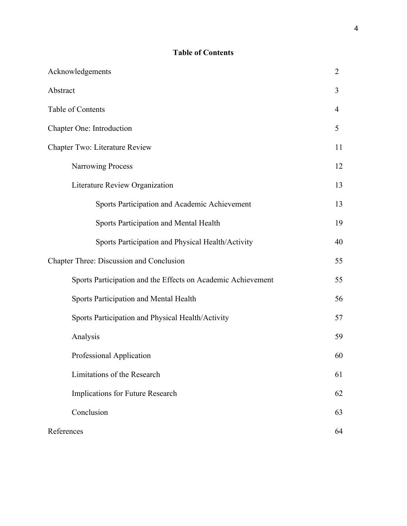# **Table of Contents**

| Acknowledgements                                             | $\overline{2}$ |
|--------------------------------------------------------------|----------------|
| Abstract                                                     | 3              |
| Table of Contents                                            | $\overline{4}$ |
| Chapter One: Introduction                                    | 5              |
| Chapter Two: Literature Review                               | 11             |
| <b>Narrowing Process</b>                                     | 12             |
| Literature Review Organization                               | 13             |
| Sports Participation and Academic Achievement                | 13             |
| <b>Sports Participation and Mental Health</b>                | 19             |
| Sports Participation and Physical Health/Activity            | 40             |
| Chapter Three: Discussion and Conclusion                     | 55             |
| Sports Participation and the Effects on Academic Achievement | 55             |
| <b>Sports Participation and Mental Health</b>                | 56             |
| Sports Participation and Physical Health/Activity            | 57             |
| Analysis                                                     | 59             |
| Professional Application                                     | 60             |
| Limitations of the Research                                  | 61             |
| Implications for Future Research                             | 62             |
| Conclusion                                                   | 63             |
| References                                                   | 64             |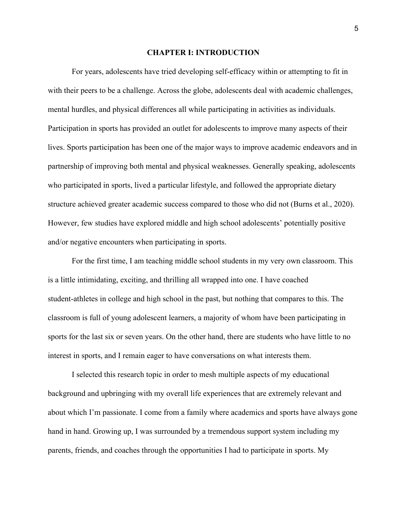#### **CHAPTER I: INTRODUCTION**

For years, adolescents have tried developing self-efficacy within or attempting to fit in with their peers to be a challenge. Across the globe, adolescents deal with academic challenges, mental hurdles, and physical differences all while participating in activities as individuals. Participation in sports has provided an outlet for adolescents to improve many aspects of their lives. Sports participation has been one of the major ways to improve academic endeavors and in partnership of improving both mental and physical weaknesses. Generally speaking, adolescents who participated in sports, lived a particular lifestyle, and followed the appropriate dietary structure achieved greater academic success compared to those who did not (Burns et al., 2020). However, few studies have explored middle and high school adolescents' potentially positive and/or negative encounters when participating in sports.

For the first time, I am teaching middle school students in my very own classroom. This is a little intimidating, exciting, and thrilling all wrapped into one. I have coached student-athletes in college and high school in the past, but nothing that compares to this. The classroom is full of young adolescent learners, a majority of whom have been participating in sports for the last six or seven years. On the other hand, there are students who have little to no interest in sports, and I remain eager to have conversations on what interests them.

I selected this research topic in order to mesh multiple aspects of my educational background and upbringing with my overall life experiences that are extremely relevant and about which I'm passionate. I come from a family where academics and sports have always gone hand in hand. Growing up, I was surrounded by a tremendous support system including my parents, friends, and coaches through the opportunities I had to participate in sports. My

5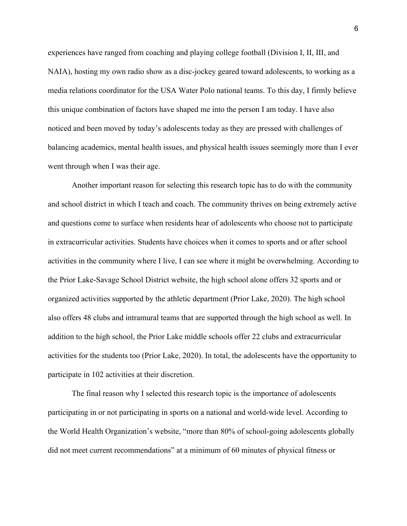experiences have ranged from coaching and playing college football (Division I, II, III, and NAIA), hosting my own radio show as a disc-jockey geared toward adolescents, to working as a media relations coordinator for the USA Water Polo national teams. To this day, I firmly believe this unique combination of factors have shaped me into the person I am today. I have also noticed and been moved by today's adolescents today as they are pressed with challenges of balancing academics, mental health issues, and physical health issues seemingly more than I ever went through when I was their age.

Another important reason for selecting this research topic has to do with the community and school district in which I teach and coach. The community thrives on being extremely active and questions come to surface when residents hear of adolescents who choose not to participate in extracurricular activities. Students have choices when it comes to sports and or after school activities in the community where I live, I can see where it might be overwhelming. According to the Prior Lake-Savage School District website, the high school alone offers 32 sports and or organized activities supported by the athletic department (Prior Lake, 2020). The high school also offers 48 clubs and intramural teams that are supported through the high school as well. In addition to the high school, the Prior Lake middle schools offer 22 clubs and extracurricular activities for the students too (Prior Lake, 2020). In total, the adolescents have the opportunity to participate in 102 activities at their discretion.

The final reason why I selected this research topic is the importance of adolescents participating in or not participating in sports on a national and world-wide level. According to the World Health Organization's website, "more than 80% of school-going adolescents globally did not meet current recommendations" at a minimum of 60 minutes of physical fitness or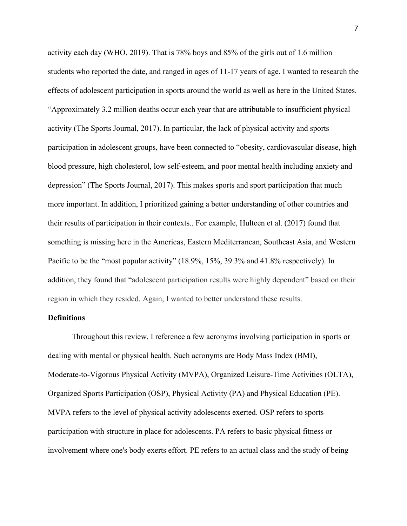activity each day (WHO, 2019). That is 78% boys and 85% of the girls out of 1.6 million students who reported the date, and ranged in ages of 11-17 years of age. I wanted to research the effects of adolescent participation in sports around the world as well as here in the United States. "Approximately 3.2 million deaths occur each year that are attributable to insufficient physical activity (The Sports Journal, 2017). In particular, the lack of physical activity and sports participation in adolescent groups, have been connected to "obesity, cardiovascular disease, high blood pressure, high cholesterol, low self-esteem, and poor mental health including anxiety and depression" (The Sports Journal, 2017). This makes sports and sport participation that much more important. In addition, I prioritized gaining a better understanding of other countries and their results of participation in their contexts.. For example, Hulteen et al. (2017) found that something is missing here in the Americas, Eastern Mediterranean, Southeast Asia, and Western Pacific to be the "most popular activity" (18.9%, 15%, 39.3% and 41.8% respectively). In addition, they found that "adolescent participation results were highly dependent" based on their region in which they resided. Again, I wanted to better understand these results.

# **Definitions**

Throughout this review, I reference a few acronyms involving participation in sports or dealing with mental or physical health. Such acronyms are Body Mass Index (BMI), Moderate-to-Vigorous Physical Activity (MVPA), Organized Leisure-Time Activities (OLTA), Organized Sports Participation (OSP), Physical Activity (PA) and Physical Education (PE). MVPA refers to the level of physical activity adolescents exerted. OSP refers to sports participation with structure in place for adolescents. PA refers to basic physical fitness or involvement where one's body exerts effort. PE refers to an actual class and the study of being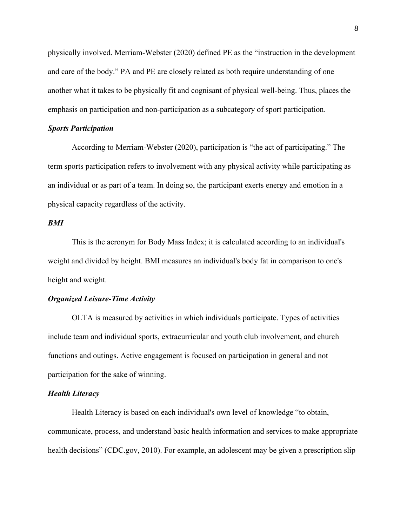physically involved. Merriam-Webster (2020) defined PE as the "instruction in the development and care of the body." PA and PE are closely related as both require understanding of one another what it takes to be physically fit and cognisant of physical well-being. Thus, places the emphasis on participation and non-participation as a subcategory of sport participation.

#### *Sports Participation*

According to Merriam-Webster (2020), participation is "the act of participating." The term sports participation refers to involvement with any physical activity while participating as an individual or as part of a team. In doing so, the participant exerts energy and emotion in a physical capacity regardless of the activity.

# *BMI*

This is the acronym for Body Mass Index; it is calculated according to an individual's weight and divided by height. BMI measures an individual's body fat in comparison to one's height and weight.

# *Organized Leisure-Time Activity*

OLTA is measured by activities in which individuals participate. Types of activities include team and individual sports, extracurricular and youth club involvement, and church functions and outings. Active engagement is focused on participation in general and not participation for the sake of winning.

## *Health Literacy*

Health Literacy is based on each individual's own level of knowledge "to obtain, communicate, process, and understand basic health information and services to make appropriate health decisions" (CDC.gov, 2010). For example, an adolescent may be given a prescription slip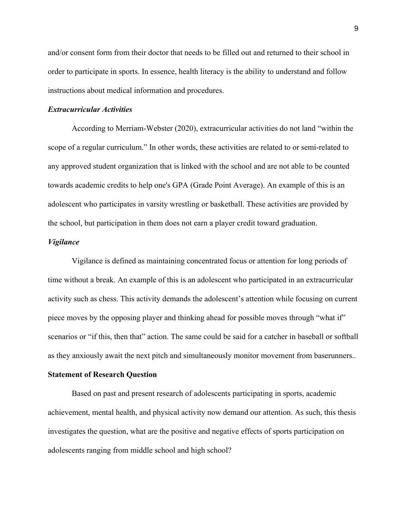and/or consent form from their doctor that needs to be filled out and returned to their school in order to participate in sports. In essence, health literacy is the ability to understand and follow instructions about medical information and procedures.

## *Extracurricular Activities*

According to Merriam-Webster (2020), extracurricular activities do not land "within the scope of a regular curriculum." In other words, these activities are related to or semi-related to any approved student organization that is linked with the school and are not able to be counted towards academic credits to help one's GPA (Grade Point Average). An example of this is an adolescent who participates in varsity wrestling or basketball. These activities are provided by the school, but participation in them does not earn a player credit toward graduation.

# *Vigilance*

Vigilance is defined as maintaining concentrated focus or attention for long periods of time without a break. An example of this is an adolescent who participated in an extracurricular activity such as chess. This activity demands the adolescent's attention while focusing on current piece moves by the opposing player and thinking ahead for possible moves through "what if" scenarios or "if this, then that" action. The same could be said for a catcher in baseball or softball as they anxiously await the next pitch and simultaneously monitor movement from baserunners..

## **Statement of Research Question**

Based on past and present research of adolescents participating in sports, academic achievement, mental health, and physical activity now demand our attention. As such, this thesis investigates the question, what are the positive and negative effects of sports participation on adolescents ranging from middle school and high school?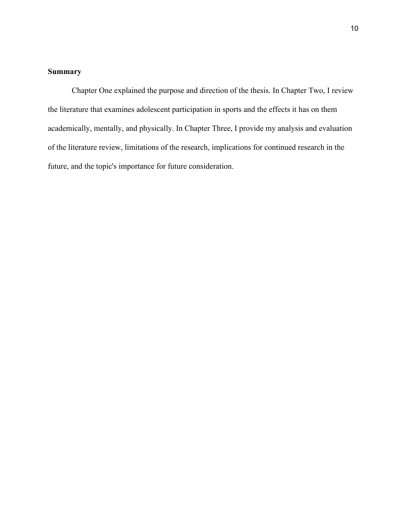# **Summary**

Chapter One explained the purpose and direction of the thesis. In Chapter Two, I review the literature that examines adolescent participation in sports and the effects it has on them academically, mentally, and physically. In Chapter Three, I provide my analysis and evaluation of the literature review, limitations of the research, implications for continued research in the future, and the topic's importance for future consideration.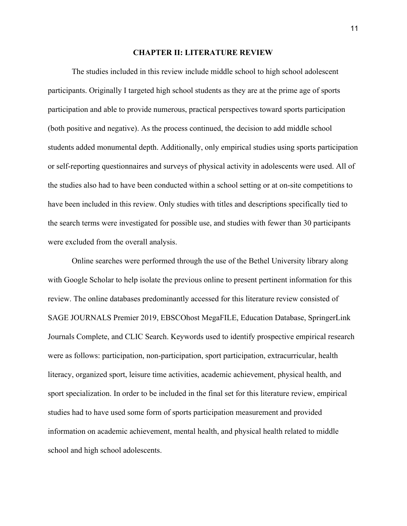#### **CHAPTER II: LITERATURE REVIEW**

The studies included in this review include middle school to high school adolescent participants. Originally I targeted high school students as they are at the prime age of sports participation and able to provide numerous, practical perspectives toward sports participation (both positive and negative). As the process continued, the decision to add middle school students added monumental depth. Additionally, only empirical studies using sports participation or self-reporting questionnaires and surveys of physical activity in adolescents were used. All of the studies also had to have been conducted within a school setting or at on-site competitions to have been included in this review. Only studies with titles and descriptions specifically tied to the search terms were investigated for possible use, and studies with fewer than 30 participants were excluded from the overall analysis.

Online searches were performed through the use of the Bethel University library along with Google Scholar to help isolate the previous online to present pertinent information for this review. The online databases predominantly accessed for this literature review consisted of SAGE JOURNALS Premier 2019, EBSCOhost MegaFILE, Education Database, SpringerLink Journals Complete, and CLIC Search. Keywords used to identify prospective empirical research were as follows: participation, non-participation, sport participation, extracurricular, health literacy, organized sport, leisure time activities, academic achievement, physical health, and sport specialization. In order to be included in the final set for this literature review, empirical studies had to have used some form of sports participation measurement and provided information on academic achievement, mental health, and physical health related to middle school and high school adolescents.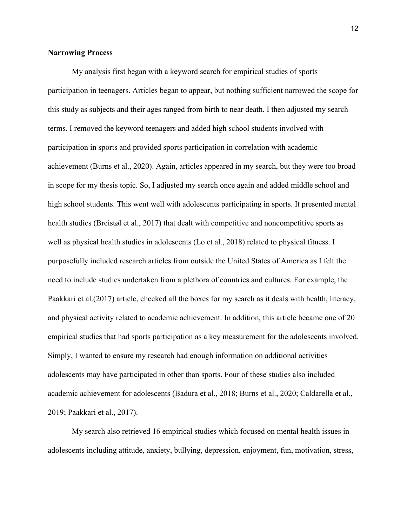# **Narrowing Process**

My analysis first began with a keyword search for empirical studies of sports participation in teenagers. Articles began to appear, but nothing sufficient narrowed the scope for this study as subjects and their ages ranged from birth to near death. I then adjusted my search terms. I removed the keyword teenagers and added high school students involved with participation in sports and provided sports participation in correlation with academic achievement (Burns et al., 2020). Again, articles appeared in my search, but they were too broad in scope for my thesis topic. So, I adjusted my search once again and added middle school and high school students. This went well with adolescents participating in sports. It presented mental health studies (Breistøl et al., 2017) that dealt with competitive and noncompetitive sports as well as physical health studies in adolescents (Lo et al., 2018) related to physical fitness. I purposefully included research articles from outside the United States of America as I felt the need to include studies undertaken from a plethora of countries and cultures. For example, the Paakkari et al.(2017) article, checked all the boxes for my search as it deals with health, literacy, and physical activity related to academic achievement. In addition, this article became one of 20 empirical studies that had sports participation as a key measurement for the adolescents involved. Simply, I wanted to ensure my research had enough information on additional activities adolescents may have participated in other than sports. Four of these studies also included academic achievement for adolescents (Badura et al., 2018; Burns et al., 2020; Caldarella et al., 2019; Paakkari et al., 2017).

My search also retrieved 16 empirical studies which focused on mental health issues in adolescents including attitude, anxiety, bullying, depression, enjoyment, fun, motivation, stress,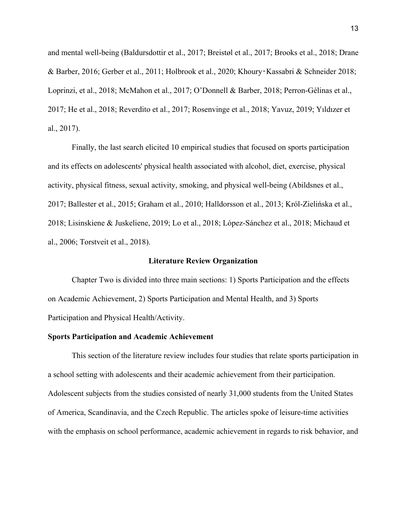and mental well-being (Baldursdottir et al., 2017; Breistøl et al., 2017; Brooks et al., 2018; Drane & Barber, 2016; Gerber et al., 2011; Holbrook et al., 2020; Khoury‑Kassabri & Schneider 2018; Loprinzi, et al., 2018; McMahon et al., 2017; O'Donnell & Barber, 2018; Perron-Gélinas et al., 2017; He et al., 2018; Reverdito et al., 2017; Rosenvinge et al., 2018; Yavuz, 2019; Yıldızer et al., 2017).

Finally, the last search elicited 10 empirical studies that focused on sports participation and its effects on adolescents' physical health associated with alcohol, diet, exercise, physical activity, physical fitness, sexual activity, smoking, and physical well-being (Abildsnes et al., 2017; Ballester et al., 2015; Graham et al., 2010; Halldorsson et al., 2013; Król-Zielińska et al., 2018; Lisinskiene & Juskeliene, 2019; Lo et al., 2018; López-Sánchez et al., 2018; Michaud et al., 2006; Torstveit et al., 2018).

#### **Literature Review Organization**

Chapter Two is divided into three main sections: 1) Sports Participation and the effects on Academic Achievement, 2) Sports Participation and Mental Health, and 3) Sports Participation and Physical Health/Activity.

## **Sports Participation and Academic Achievement**

This section of the literature review includes four studies that relate sports participation in a school setting with adolescents and their academic achievement from their participation. Adolescent subjects from the studies consisted of nearly 31,000 students from the United States of America, Scandinavia, and the Czech Republic. The articles spoke of leisure-time activities with the emphasis on school performance, academic achievement in regards to risk behavior, and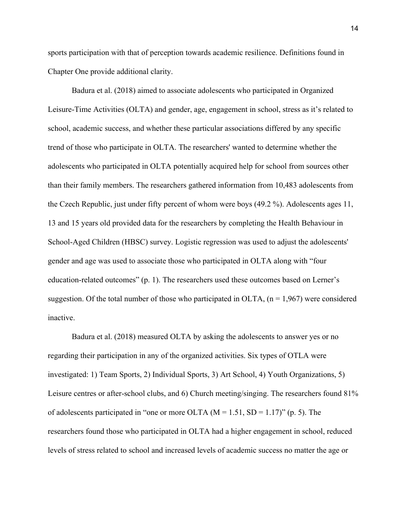sports participation with that of perception towards academic resilience. Definitions found in Chapter One provide additional clarity.

Badura et al. (2018) aimed to associate adolescents who participated in Organized Leisure-Time Activities (OLTA) and gender, age, engagement in school, stress as it's related to school, academic success, and whether these particular associations differed by any specific trend of those who participate in OLTA. The researchers' wanted to determine whether the adolescents who participated in OLTA potentially acquired help for school from sources other than their family members. The researchers gathered information from 10,483 adolescents from the Czech Republic, just under fifty percent of whom were boys (49.2 %). Adolescents ages 11, 13 and 15 years old provided data for the researchers by completing the Health Behaviour in School-Aged Children (HBSC) survey. Logistic regression was used to adjust the adolescents' gender and age was used to associate those who participated in OLTA along with "four education-related outcomes" (p. 1). The researchers used these outcomes based on Lerner's suggestion. Of the total number of those who participated in OLTA,  $(n = 1,967)$  were considered inactive.

Badura et al. (2018) measured OLTA by asking the adolescents to answer yes or no regarding their participation in any of the organized activities. Six types of OTLA were investigated: 1) Team Sports, 2) Individual Sports, 3) Art School, 4) Youth Organizations, 5) Leisure centres or after-school clubs, and 6) Church meeting/singing. The researchers found 81% of adolescents participated in "one or more OLTA  $(M = 1.51, SD = 1.17)$ " (p. 5). The researchers found those who participated in OLTA had a higher engagement in school, reduced levels of stress related to school and increased levels of academic success no matter the age or

14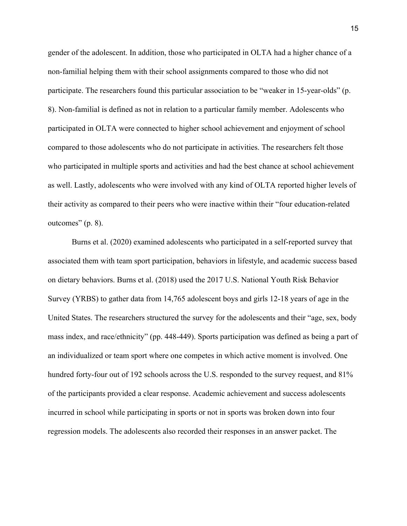gender of the adolescent. In addition, those who participated in OLTA had a higher chance of a non-familial helping them with their school assignments compared to those who did not participate. The researchers found this particular association to be "weaker in 15-year-olds" (p. 8). Non-familial is defined as not in relation to a particular family member. Adolescents who participated in OLTA were connected to higher school achievement and enjoyment of school compared to those adolescents who do not participate in activities. The researchers felt those who participated in multiple sports and activities and had the best chance at school achievement as well. Lastly, adolescents who were involved with any kind of OLTA reported higher levels of their activity as compared to their peers who were inactive within their "four education-related outcomes" (p. 8).

Burns et al. (2020) examined adolescents who participated in a self-reported survey that associated them with team sport participation, behaviors in lifestyle, and academic success based on dietary behaviors. Burns et al. (2018) used the 2017 U.S. National Youth Risk Behavior Survey (YRBS) to gather data from 14,765 adolescent boys and girls 12-18 years of age in the United States. The researchers structured the survey for the adolescents and their "age, sex, body mass index, and race/ethnicity" (pp. 448-449). Sports participation was defined as being a part of an individualized or team sport where one competes in which active moment is involved. One hundred forty-four out of 192 schools across the U.S. responded to the survey request, and 81% of the participants provided a clear response. Academic achievement and success adolescents incurred in school while participating in sports or not in sports was broken down into four regression models. The adolescents also recorded their responses in an answer packet. The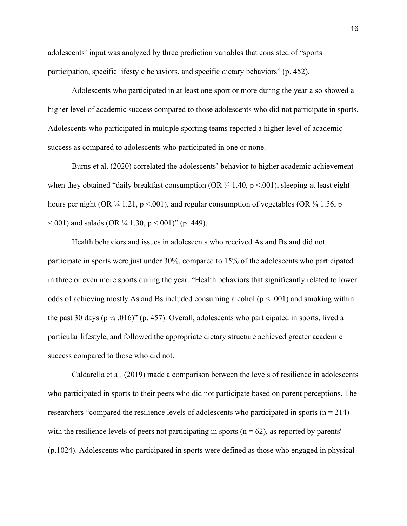adolescents' input was analyzed by three prediction variables that consisted of "sports participation, specific lifestyle behaviors, and specific dietary behaviors" (p. 452).

Adolescents who participated in at least one sport or more during the year also showed a higher level of academic success compared to those adolescents who did not participate in sports. Adolescents who participated in multiple sporting teams reported a higher level of academic success as compared to adolescents who participated in one or none.

Burns et al. (2020) correlated the adolescents' behavior to higher academic achievement when they obtained "daily breakfast consumption (OR  $\frac{1}{4}$  1.40, p <.001), sleeping at least eight hours per night (OR  $\frac{1}{4}$  1.21, p <.001), and regular consumption of vegetables (OR  $\frac{1}{4}$  1.56, p  $\leq$  001) and salads (OR  $\frac{1}{4}$  1.30, p  $\leq$  001)" (p. 449).

Health behaviors and issues in adolescents who received As and Bs and did not participate in sports were just under 30%, compared to 15% of the adolescents who participated in three or even more sports during the year. "Health behaviors that significantly related to lower odds of achieving mostly As and Bs included consuming alcohol ( $p < .001$ ) and smoking within the past 30 days ( $p \frac{1}{4}$ .016)" (p. 457). Overall, adolescents who participated in sports, lived a particular lifestyle, and followed the appropriate dietary structure achieved greater academic success compared to those who did not.

Caldarella et al. (2019) made a comparison between the levels of resilience in adolescents who participated in sports to their peers who did not participate based on parent perceptions. The researchers "compared the resilience levels of adolescents who participated in sports ( $n = 214$ ) with the resilience levels of peers not participating in sports ( $n = 62$ ), as reported by parents'' (p.1024). Adolescents who participated in sports were defined as those who engaged in physical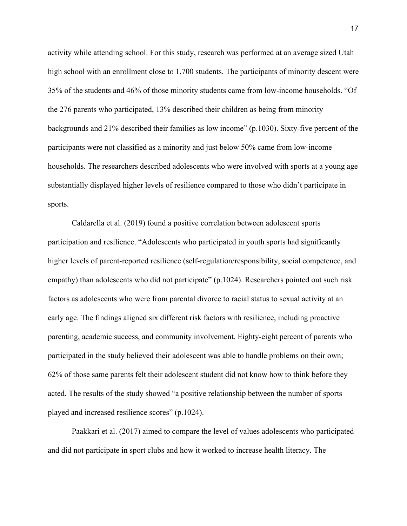activity while attending school. For this study, research was performed at an average sized Utah high school with an enrollment close to 1,700 students. The participants of minority descent were 35% of the students and 46% of those minority students came from low-income households. "Of the 276 parents who participated, 13% described their children as being from minority backgrounds and 21% described their families as low income" (p.1030). Sixty-five percent of the participants were not classified as a minority and just below 50% came from low-income households. The researchers described adolescents who were involved with sports at a young age substantially displayed higher levels of resilience compared to those who didn't participate in sports.

Caldarella et al. (2019) found a positive correlation between adolescent sports participation and resilience. "Adolescents who participated in youth sports had significantly higher levels of parent-reported resilience (self-regulation/responsibility, social competence, and empathy) than adolescents who did not participate" (p.1024). Researchers pointed out such risk factors as adolescents who were from parental divorce to racial status to sexual activity at an early age. The findings aligned six different risk factors with resilience, including proactive parenting, academic success, and community involvement. Eighty-eight percent of parents who participated in the study believed their adolescent was able to handle problems on their own; 62% of those same parents felt their adolescent student did not know how to think before they acted. The results of the study showed "a positive relationship between the number of sports played and increased resilience scores" (p.1024).

Paakkari et al. (2017) aimed to compare the level of values adolescents who participated and did not participate in sport clubs and how it worked to increase health literacy. The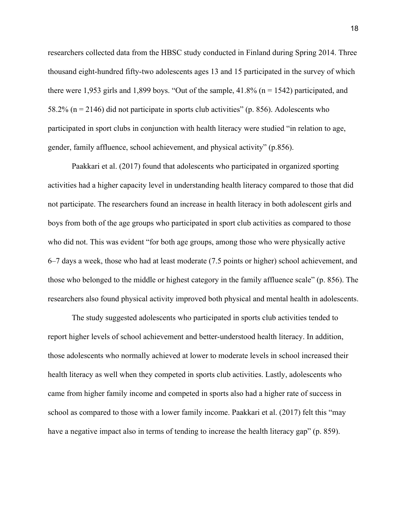researchers collected data from the HBSC study conducted in Finland during Spring 2014. Three thousand eight-hundred fifty-two adolescents ages 13 and 15 participated in the survey of which there were 1,953 girls and 1,899 boys. "Out of the sample, 41.8% ( $n = 1542$ ) participated, and 58.2% (n = 2146) did not participate in sports club activities" (p. 856). Adolescents who participated in sport clubs in conjunction with health literacy were studied "in relation to age, gender, family affluence, school achievement, and physical activity" (p.856).

Paakkari et al. (2017) found that adolescents who participated in organized sporting activities had a higher capacity level in understanding health literacy compared to those that did not participate. The researchers found an increase in health literacy in both adolescent girls and boys from both of the age groups who participated in sport club activities as compared to those who did not. This was evident "for both age groups, among those who were physically active 6–7 days a week, those who had at least moderate (7.5 points or higher) school achievement, and those who belonged to the middle or highest category in the family affluence scale" (p. 856). The researchers also found physical activity improved both physical and mental health in adolescents.

The study suggested adolescents who participated in sports club activities tended to report higher levels of school achievement and better-understood health literacy. In addition, those adolescents who normally achieved at lower to moderate levels in school increased their health literacy as well when they competed in sports club activities. Lastly, adolescents who came from higher family income and competed in sports also had a higher rate of success in school as compared to those with a lower family income. Paakkari et al. (2017) felt this "may have a negative impact also in terms of tending to increase the health literacy gap" (p. 859).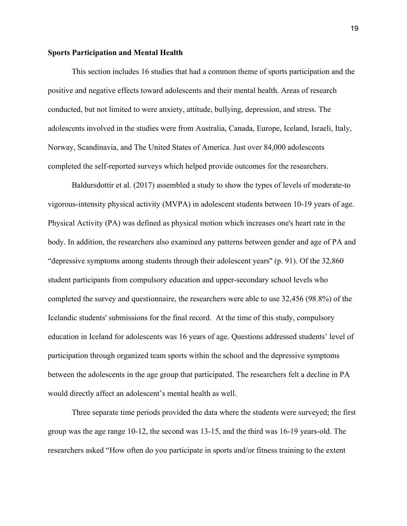#### **Sports Participation and Mental Health**

This section includes 16 studies that had a common theme of sports participation and the positive and negative effects toward adolescents and their mental health. Areas of research conducted, but not limited to were anxiety, attitude, bullying, depression, and stress. The adolescents involved in the studies were from Australia, Canada, Europe, Iceland, Israeli, Italy, Norway, Scandinavia, and The United States of America. Just over 84,000 adolescents completed the self-reported surveys which helped provide outcomes for the researchers.

Baldursdottir et al. (2017) assembled a study to show the types of levels of moderate-to vigorous-intensity physical activity (MVPA) in adolescent students between 10-19 years of age. Physical Activity (PA) was defined as physical motion which increases one's heart rate in the body. In addition, the researchers also examined any patterns between gender and age of PA and "depressive symptoms among students through their adolescent years'' (p. 91). Of the 32,860 student participants from compulsory education and upper-secondary school levels who completed the survey and questionnaire, the researchers were able to use 32,456 (98.8%) of the Icelandic students' submissions for the final record. At the time of this study, compulsory education in Iceland for adolescents was 16 years of age. Questions addressed students' level of participation through organized team sports within the school and the depressive symptoms between the adolescents in the age group that participated. The researchers felt a decline in PA would directly affect an adolescent's mental health as well.

Three separate time periods provided the data where the students were surveyed; the first group was the age range 10-12, the second was 13-15, and the third was 16-19 years-old. The researchers asked "How often do you participate in sports and/or fitness training to the extent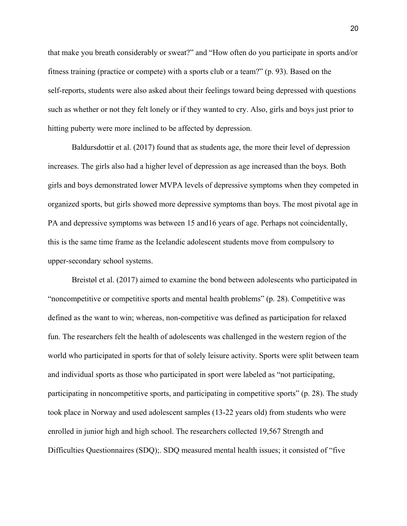that make you breath considerably or sweat?" and "How often do you participate in sports and/or fitness training (practice or compete) with a sports club or a team?" (p. 93). Based on the self-reports, students were also asked about their feelings toward being depressed with questions such as whether or not they felt lonely or if they wanted to cry. Also, girls and boys just prior to hitting puberty were more inclined to be affected by depression.

Baldursdottir et al. (2017) found that as students age, the more their level of depression increases. The girls also had a higher level of depression as age increased than the boys. Both girls and boys demonstrated lower MVPA levels of depressive symptoms when they competed in organized sports, but girls showed more depressive symptoms than boys. The most pivotal age in PA and depressive symptoms was between 15 and16 years of age. Perhaps not coincidentally, this is the same time frame as the Icelandic adolescent students move from compulsory to upper-secondary school systems.

Breistøl et al. (2017) aimed to examine the bond between adolescents who participated in "noncompetitive or competitive sports and mental health problems" (p. 28). Competitive was defined as the want to win; whereas, non-competitive was defined as participation for relaxed fun. The researchers felt the health of adolescents was challenged in the western region of the world who participated in sports for that of solely leisure activity. Sports were split between team and individual sports as those who participated in sport were labeled as "not participating, participating in noncompetitive sports, and participating in competitive sports" (p. 28). The study took place in Norway and used adolescent samples (13-22 years old) from students who were enrolled in junior high and high school. The researchers collected 19,567 Strength and Difficulties Questionnaires (SDQ);. SDQ measured mental health issues; it consisted of "five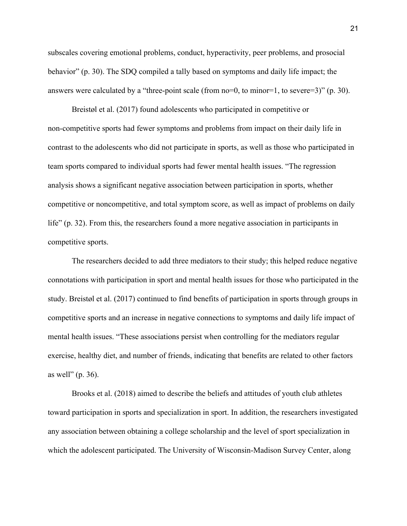subscales covering emotional problems, conduct, hyperactivity, peer problems, and prosocial behavior" (p. 30). The SDQ compiled a tally based on symptoms and daily life impact; the answers were calculated by a "three-point scale (from no=0, to minor=1, to severe=3)" (p. 30).

Breistøl et al. (2017) found adolescents who participated in competitive or non-competitive sports had fewer symptoms and problems from impact on their daily life in contrast to the adolescents who did not participate in sports, as well as those who participated in team sports compared to individual sports had fewer mental health issues. "The regression analysis shows a significant negative association between participation in sports, whether competitive or noncompetitive, and total symptom score, as well as impact of problems on daily life" (p. 32). From this, the researchers found a more negative association in participants in competitive sports.

The researchers decided to add three mediators to their study; this helped reduce negative connotations with participation in sport and mental health issues for those who participated in the study. Breistøl et al. (2017) continued to find benefits of participation in sports through groups in competitive sports and an increase in negative connections to symptoms and daily life impact of mental health issues. "These associations persist when controlling for the mediators regular exercise, healthy diet, and number of friends, indicating that benefits are related to other factors as well" (p. 36).

Brooks et al. (2018) aimed to describe the beliefs and attitudes of youth club athletes toward participation in sports and specialization in sport. In addition, the researchers investigated any association between obtaining a college scholarship and the level of sport specialization in which the adolescent participated. The University of Wisconsin-Madison Survey Center, along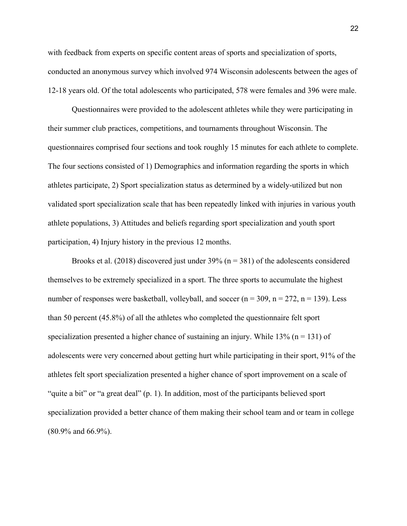with feedback from experts on specific content areas of sports and specialization of sports, conducted an anonymous survey which involved 974 Wisconsin adolescents between the ages of 12-18 years old. Of the total adolescents who participated, 578 were females and 396 were male.

Questionnaires were provided to the adolescent athletes while they were participating in their summer club practices, competitions, and tournaments throughout Wisconsin. The questionnaires comprised four sections and took roughly 15 minutes for each athlete to complete. The four sections consisted of 1) Demographics and information regarding the sports in which athletes participate, 2) Sport specialization status as determined by a widely-utilized but non validated sport specialization scale that has been repeatedly linked with injuries in various youth athlete populations, 3) Attitudes and beliefs regarding sport specialization and youth sport participation, 4) Injury history in the previous 12 months.

Brooks et al.  $(2018)$  discovered just under 39% (n = 381) of the adolescents considered themselves to be extremely specialized in a sport. The three sports to accumulate the highest number of responses were basketball, volleyball, and soccer ( $n = 309$ ,  $n = 272$ ,  $n = 139$ ). Less than 50 percent (45.8%) of all the athletes who completed the questionnaire felt sport specialization presented a higher chance of sustaining an injury. While  $13\%$  (n = 131) of adolescents were very concerned about getting hurt while participating in their sport, 91% of the athletes felt sport specialization presented a higher chance of sport improvement on a scale of "quite a bit" or "a great deal" (p. 1). In addition, most of the participants believed sport specialization provided a better chance of them making their school team and or team in college (80.9% and 66.9%).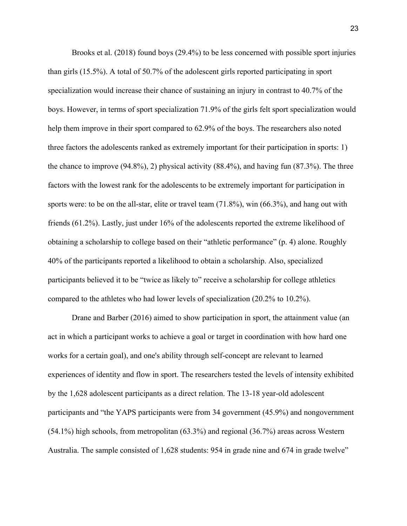Brooks et al. (2018) found boys (29.4%) to be less concerned with possible sport injuries than girls (15.5%). A total of 50.7% of the adolescent girls reported participating in sport specialization would increase their chance of sustaining an injury in contrast to 40.7% of the boys. However, in terms of sport specialization 71.9% of the girls felt sport specialization would help them improve in their sport compared to 62.9% of the boys. The researchers also noted three factors the adolescents ranked as extremely important for their participation in sports: 1) the chance to improve (94.8%), 2) physical activity (88.4%), and having fun (87.3%). The three factors with the lowest rank for the adolescents to be extremely important for participation in sports were: to be on the all-star, elite or travel team (71.8%), win (66.3%), and hang out with friends (61.2%). Lastly, just under 16% of the adolescents reported the extreme likelihood of obtaining a scholarship to college based on their "athletic performance" (p. 4) alone. Roughly 40% of the participants reported a likelihood to obtain a scholarship. Also, specialized participants believed it to be "twice as likely to" receive a scholarship for college athletics compared to the athletes who had lower levels of specialization (20.2% to 10.2%).

Drane and Barber (2016) aimed to show participation in sport, the attainment value (an act in which a participant works to achieve a goal or target in coordination with how hard one works for a certain goal), and one's ability through self-concept are relevant to learned experiences of identity and flow in sport. The researchers tested the levels of intensity exhibited by the 1,628 adolescent participants as a direct relation. The 13-18 year-old adolescent participants and "the YAPS participants were from 34 government (45.9%) and nongovernment (54.1%) high schools, from metropolitan (63.3%) and regional (36.7%) areas across Western Australia. The sample consisted of 1,628 students: 954 in grade nine and 674 in grade twelve"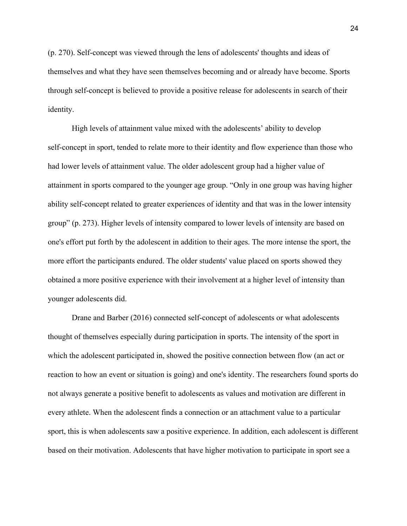(p. 270). Self-concept was viewed through the lens of adolescents' thoughts and ideas of themselves and what they have seen themselves becoming and or already have become. Sports through self-concept is believed to provide a positive release for adolescents in search of their identity.

High levels of attainment value mixed with the adolescents' ability to develop self-concept in sport, tended to relate more to their identity and flow experience than those who had lower levels of attainment value. The older adolescent group had a higher value of attainment in sports compared to the younger age group. "Only in one group was having higher ability self-concept related to greater experiences of identity and that was in the lower intensity group" (p. 273). Higher levels of intensity compared to lower levels of intensity are based on one's effort put forth by the adolescent in addition to their ages. The more intense the sport, the more effort the participants endured. The older students' value placed on sports showed they obtained a more positive experience with their involvement at a higher level of intensity than younger adolescents did.

Drane and Barber (2016) connected self-concept of adolescents or what adolescents thought of themselves especially during participation in sports. The intensity of the sport in which the adolescent participated in, showed the positive connection between flow (an act or reaction to how an event or situation is going) and one's identity. The researchers found sports do not always generate a positive benefit to adolescents as values and motivation are different in every athlete. When the adolescent finds a connection or an attachment value to a particular sport, this is when adolescents saw a positive experience. In addition, each adolescent is different based on their motivation. Adolescents that have higher motivation to participate in sport see a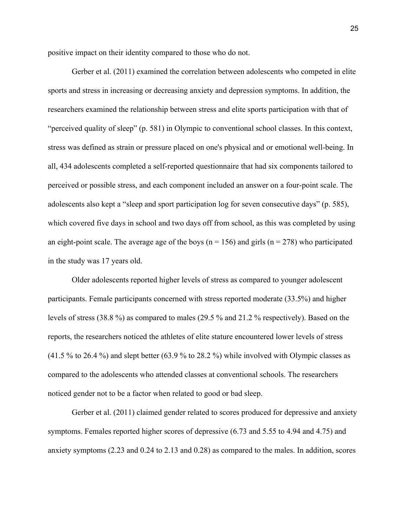positive impact on their identity compared to those who do not.

Gerber et al. (2011) examined the correlation between adolescents who competed in elite sports and stress in increasing or decreasing anxiety and depression symptoms. In addition, the researchers examined the relationship between stress and elite sports participation with that of "perceived quality of sleep" (p. 581) in Olympic to conventional school classes. In this context, stress was defined as strain or pressure placed on one's physical and or emotional well-being. In all, 434 adolescents completed a self-reported questionnaire that had six components tailored to perceived or possible stress, and each component included an answer on a four-point scale. The adolescents also kept a "sleep and sport participation log for seven consecutive days" (p. 585), which covered five days in school and two days off from school, as this was completed by using an eight-point scale. The average age of the boys ( $n = 156$ ) and girls ( $n = 278$ ) who participated in the study was 17 years old.

Older adolescents reported higher levels of stress as compared to younger adolescent participants. Female participants concerned with stress reported moderate (33.5%) and higher levels of stress (38.8 %) as compared to males (29.5 % and 21.2 % respectively). Based on the reports, the researchers noticed the athletes of elite stature encountered lower levels of stress (41.5 % to 26.4 %) and slept better (63.9 % to 28.2 %) while involved with Olympic classes as compared to the adolescents who attended classes at conventional schools. The researchers noticed gender not to be a factor when related to good or bad sleep.

Gerber et al. (2011) claimed gender related to scores produced for depressive and anxiety symptoms. Females reported higher scores of depressive (6.73 and 5.55 to 4.94 and 4.75) and anxiety symptoms (2.23 and 0.24 to 2.13 and 0.28) as compared to the males. In addition, scores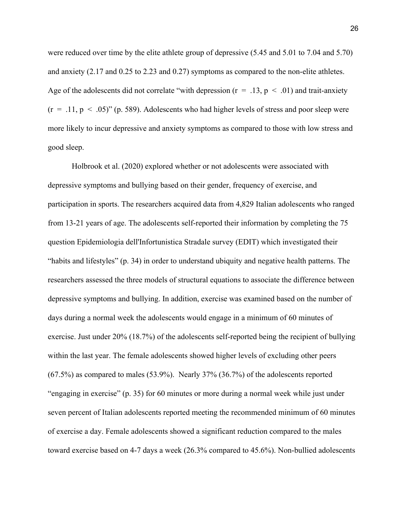were reduced over time by the elite athlete group of depressive (5.45 and 5.01 to 7.04 and 5.70) and anxiety (2.17 and 0.25 to 2.23 and 0.27) symptoms as compared to the non-elite athletes. Age of the adolescents did not correlate "with depression ( $r = .13$ ,  $p < .01$ ) and trait-anxiety  $(r = .11, p < .05)$ " (p. 589). Adolescents who had higher levels of stress and poor sleep were more likely to incur depressive and anxiety symptoms as compared to those with low stress and good sleep.

Holbrook et al. (2020) explored whether or not adolescents were associated with depressive symptoms and bullying based on their gender, frequency of exercise, and participation in sports. The researchers acquired data from 4,829 Italian adolescents who ranged from 13-21 years of age. The adolescents self-reported their information by completing the 75 question Epidemiologia dell'Infortunistica Stradale survey (EDIT) which investigated their "habits and lifestyles" (p. 34) in order to understand ubiquity and negative health patterns. The researchers assessed the three models of structural equations to associate the difference between depressive symptoms and bullying. In addition, exercise was examined based on the number of days during a normal week the adolescents would engage in a minimum of 60 minutes of exercise. Just under 20% (18.7%) of the adolescents self-reported being the recipient of bullying within the last year. The female adolescents showed higher levels of excluding other peers (67.5%) as compared to males (53.9%). Nearly 37% (36.7%) of the adolescents reported "engaging in exercise" (p. 35) for 60 minutes or more during a normal week while just under seven percent of Italian adolescents reported meeting the recommended minimum of 60 minutes of exercise a day. Female adolescents showed a significant reduction compared to the males toward exercise based on 4-7 days a week (26.3% compared to 45.6%). Non-bullied adolescents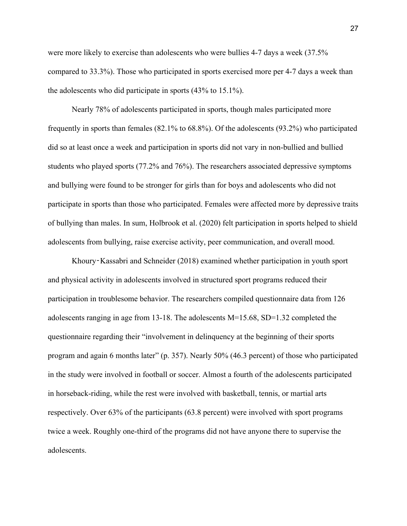were more likely to exercise than adolescents who were bullies 4-7 days a week (37.5% compared to 33.3%). Those who participated in sports exercised more per 4-7 days a week than the adolescents who did participate in sports (43% to 15.1%).

Nearly 78% of adolescents participated in sports, though males participated more frequently in sports than females (82.1% to 68.8%). Of the adolescents (93.2%) who participated did so at least once a week and participation in sports did not vary in non-bullied and bullied students who played sports (77.2% and 76%). The researchers associated depressive symptoms and bullying were found to be stronger for girls than for boys and adolescents who did not participate in sports than those who participated. Females were affected more by depressive traits of bullying than males. In sum, Holbrook et al. (2020) felt participation in sports helped to shield adolescents from bullying, raise exercise activity, peer communication, and overall mood.

Khoury‑Kassabri and Schneider (2018) examined whether participation in youth sport and physical activity in adolescents involved in structured sport programs reduced their participation in troublesome behavior. The researchers compiled questionnaire data from 126 adolescents ranging in age from 13-18. The adolescents M=15.68, SD=1.32 completed the questionnaire regarding their "involvement in delinquency at the beginning of their sports program and again 6 months later" (p. 357). Nearly 50% (46.3 percent) of those who participated in the study were involved in football or soccer. Almost a fourth of the adolescents participated in horseback-riding, while the rest were involved with basketball, tennis, or martial arts respectively. Over 63% of the participants (63.8 percent) were involved with sport programs twice a week. Roughly one-third of the programs did not have anyone there to supervise the adolescents.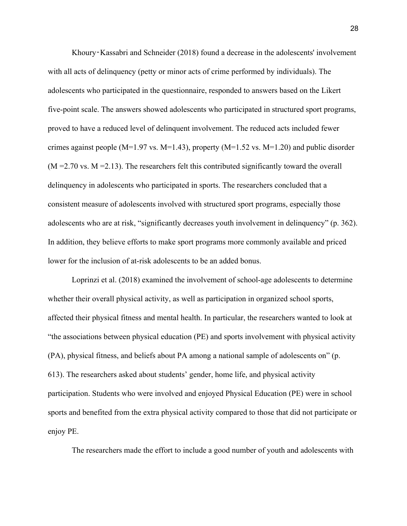Khoury‑Kassabri and Schneider (2018) found a decrease in the adolescents' involvement with all acts of delinquency (petty or minor acts of crime performed by individuals). The adolescents who participated in the questionnaire, responded to answers based on the Likert five-point scale. The answers showed adolescents who participated in structured sport programs, proved to have a reduced level of delinquent involvement. The reduced acts included fewer crimes against people (M=1.97 vs. M=1.43), property (M=1.52 vs. M=1.20) and public disorder  $(M = 2.70 \text{ vs. } M = 2.13)$ . The researchers felt this contributed significantly toward the overall delinquency in adolescents who participated in sports. The researchers concluded that a consistent measure of adolescents involved with structured sport programs, especially those adolescents who are at risk, "significantly decreases youth involvement in delinquency" (p. 362). In addition, they believe efforts to make sport programs more commonly available and priced lower for the inclusion of at-risk adolescents to be an added bonus.

Loprinzi et al. (2018) examined the involvement of school-age adolescents to determine whether their overall physical activity, as well as participation in organized school sports, affected their physical fitness and mental health. In particular, the researchers wanted to look at "the associations between physical education (PE) and sports involvement with physical activity (PA), physical fitness, and beliefs about PA among a national sample of adolescents on" (p. 613). The researchers asked about students' gender, home life, and physical activity participation. Students who were involved and enjoyed Physical Education (PE) were in school sports and benefited from the extra physical activity compared to those that did not participate or enjoy PE.

The researchers made the effort to include a good number of youth and adolescents with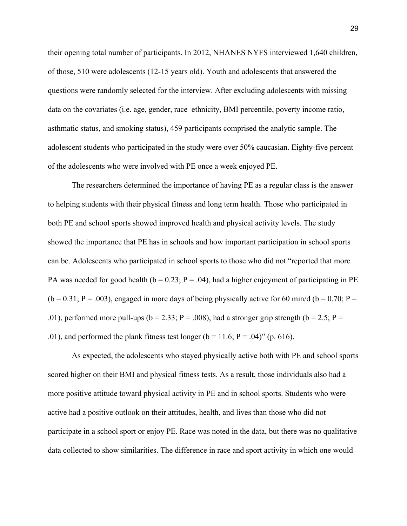their opening total number of participants. In 2012, NHANES NYFS interviewed 1,640 children, of those, 510 were adolescents (12-15 years old). Youth and adolescents that answered the questions were randomly selected for the interview. After excluding adolescents with missing data on the covariates (i.e. age, gender, race–ethnicity, BMI percentile, poverty income ratio, asthmatic status, and smoking status), 459 participants comprised the analytic sample. The adolescent students who participated in the study were over 50% caucasian. Eighty-five percent of the adolescents who were involved with PE once a week enjoyed PE.

The researchers determined the importance of having PE as a regular class is the answer to helping students with their physical fitness and long term health. Those who participated in both PE and school sports showed improved health and physical activity levels. The study showed the importance that PE has in schools and how important participation in school sports can be. Adolescents who participated in school sports to those who did not "reported that more PA was needed for good health ( $b = 0.23$ ; P = .04), had a higher enjoyment of participating in PE  $(b = 0.31; P = .003)$ , engaged in more days of being physically active for 60 min/d (b = 0.70; P = .01), performed more pull-ups ( $b = 2.33$ ; P = .008), had a stronger grip strength ( $b = 2.5$ ; P = .01), and performed the plank fitness test longer ( $b = 11.6$ ;  $P = .04$ )" (p. 616).

As expected, the adolescents who stayed physically active both with PE and school sports scored higher on their BMI and physical fitness tests. As a result, those individuals also had a more positive attitude toward physical activity in PE and in school sports. Students who were active had a positive outlook on their attitudes, health, and lives than those who did not participate in a school sport or enjoy PE. Race was noted in the data, but there was no qualitative data collected to show similarities. The difference in race and sport activity in which one would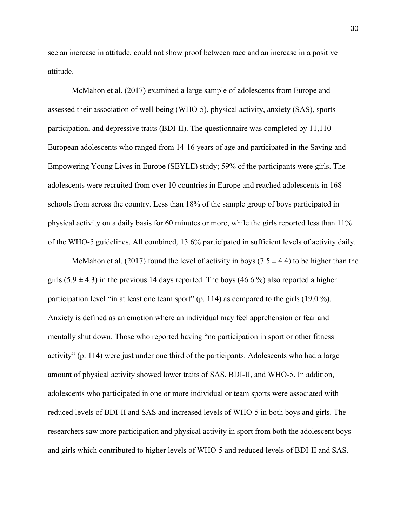see an increase in attitude, could not show proof between race and an increase in a positive attitude.

McMahon et al. (2017) examined a large sample of adolescents from Europe and assessed their association of well-being (WHO-5), physical activity, anxiety (SAS), sports participation, and depressive traits (BDI-II). The questionnaire was completed by 11,110 European adolescents who ranged from 14-16 years of age and participated in the Saving and Empowering Young Lives in Europe (SEYLE) study; 59% of the participants were girls. The adolescents were recruited from over 10 countries in Europe and reached adolescents in 168 schools from across the country. Less than 18% of the sample group of boys participated in physical activity on a daily basis for 60 minutes or more, while the girls reported less than 11% of the WHO-5 guidelines. All combined, 13.6% participated in sufficient levels of activity daily.

McMahon et al. (2017) found the level of activity in boys (7.5  $\pm$  4.4) to be higher than the girls  $(5.9 \pm 4.3)$  in the previous 14 days reported. The boys (46.6%) also reported a higher participation level "in at least one team sport" (p. 114) as compared to the girls (19.0 %). Anxiety is defined as an emotion where an individual may feel apprehension or fear and mentally shut down. Those who reported having "no participation in sport or other fitness activity" (p. 114) were just under one third of the participants. Adolescents who had a large amount of physical activity showed lower traits of SAS, BDI-II, and WHO-5. In addition, adolescents who participated in one or more individual or team sports were associated with reduced levels of BDI-II and SAS and increased levels of WHO-5 in both boys and girls. The researchers saw more participation and physical activity in sport from both the adolescent boys and girls which contributed to higher levels of WHO-5 and reduced levels of BDI-II and SAS.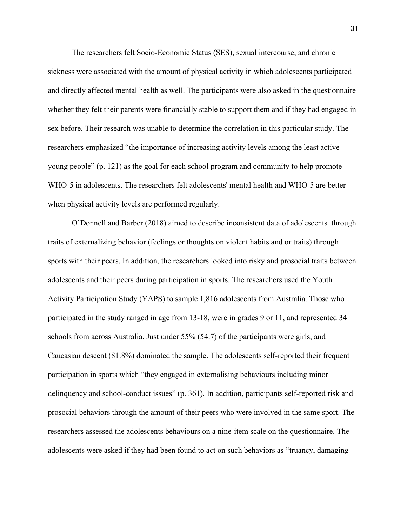The researchers felt Socio-Economic Status (SES), sexual intercourse, and chronic sickness were associated with the amount of physical activity in which adolescents participated and directly affected mental health as well. The participants were also asked in the questionnaire whether they felt their parents were financially stable to support them and if they had engaged in sex before. Their research was unable to determine the correlation in this particular study. The researchers emphasized "the importance of increasing activity levels among the least active young people" (p. 121) as the goal for each school program and community to help promote WHO-5 in adolescents. The researchers felt adolescents' mental health and WHO-5 are better when physical activity levels are performed regularly.

O'Donnell and Barber (2018) aimed to describe inconsistent data of adolescents through traits of externalizing behavior (feelings or thoughts on violent habits and or traits) through sports with their peers. In addition, the researchers looked into risky and prosocial traits between adolescents and their peers during participation in sports. The researchers used the Youth Activity Participation Study (YAPS) to sample 1,816 adolescents from Australia. Those who participated in the study ranged in age from 13-18, were in grades 9 or 11, and represented 34 schools from across Australia. Just under 55% (54.7) of the participants were girls, and Caucasian descent (81.8%) dominated the sample. The adolescents self-reported their frequent participation in sports which "they engaged in externalising behaviours including minor delinquency and school-conduct issues" (p. 361). In addition, participants self-reported risk and prosocial behaviors through the amount of their peers who were involved in the same sport. The researchers assessed the adolescents behaviours on a nine-item scale on the questionnaire. The adolescents were asked if they had been found to act on such behaviors as "truancy, damaging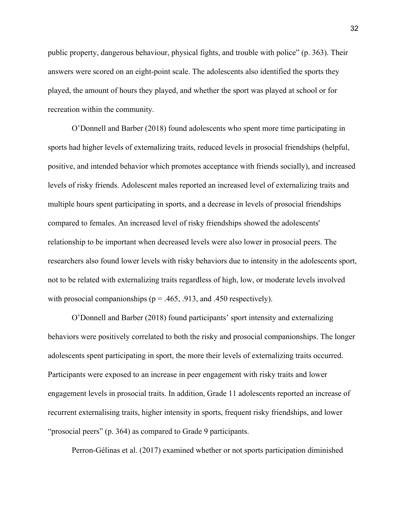public property, dangerous behaviour, physical fights, and trouble with police" (p. 363). Their answers were scored on an eight-point scale. The adolescents also identified the sports they played, the amount of hours they played, and whether the sport was played at school or for recreation within the community.

O'Donnell and Barber (2018) found adolescents who spent more time participating in sports had higher levels of externalizing traits, reduced levels in prosocial friendships (helpful, positive, and intended behavior which promotes acceptance with friends socially), and increased levels of risky friends. Adolescent males reported an increased level of externalizing traits and multiple hours spent participating in sports, and a decrease in levels of prosocial friendships compared to females. An increased level of risky friendships showed the adolescents' relationship to be important when decreased levels were also lower in prosocial peers. The researchers also found lower levels with risky behaviors due to intensity in the adolescents sport, not to be related with externalizing traits regardless of high, low, or moderate levels involved with prosocial companionships ( $p = .465, .913,$  and .450 respectively).

O'Donnell and Barber (2018) found participants' sport intensity and externalizing behaviors were positively correlated to both the risky and prosocial companionships. The longer adolescents spent participating in sport, the more their levels of externalizing traits occurred. Participants were exposed to an increase in peer engagement with risky traits and lower engagement levels in prosocial traits. In addition, Grade 11 adolescents reported an increase of recurrent externalising traits, higher intensity in sports, frequent risky friendships, and lower "prosocial peers" (p. 364) as compared to Grade 9 participants.

Perron-Gélinas et al. (2017) examined whether or not sports participation diminished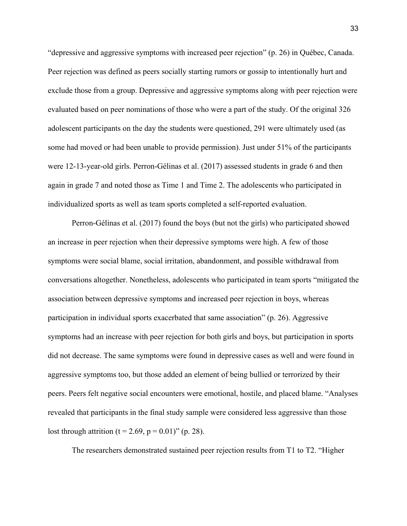"depressive and aggressive symptoms with increased peer rejection" (p. 26) in Québec, Canada. Peer rejection was defined as peers socially starting rumors or gossip to intentionally hurt and exclude those from a group. Depressive and aggressive symptoms along with peer rejection were evaluated based on peer nominations of those who were a part of the study. Of the original 326 adolescent participants on the day the students were questioned, 291 were ultimately used (as some had moved or had been unable to provide permission). Just under 51% of the participants were 12-13-year-old girls. Perron-Gélinas et al. (2017) assessed students in grade 6 and then again in grade 7 and noted those as Time 1 and Time 2. The adolescents who participated in individualized sports as well as team sports completed a self-reported evaluation.

Perron-Gélinas et al. (2017) found the boys (but not the girls) who participated showed an increase in peer rejection when their depressive symptoms were high. A few of those symptoms were social blame, social irritation, abandonment, and possible withdrawal from conversations altogether. Nonetheless, adolescents who participated in team sports "mitigated the association between depressive symptoms and increased peer rejection in boys, whereas participation in individual sports exacerbated that same association" (p. 26). Aggressive symptoms had an increase with peer rejection for both girls and boys, but participation in sports did not decrease. The same symptoms were found in depressive cases as well and were found in aggressive symptoms too, but those added an element of being bullied or terrorized by their peers. Peers felt negative social encounters were emotional, hostile, and placed blame. "Analyses revealed that participants in the final study sample were considered less aggressive than those lost through attrition (t = 2.69, p = 0.01)" (p. 28).

The researchers demonstrated sustained peer rejection results from T1 to T2. "Higher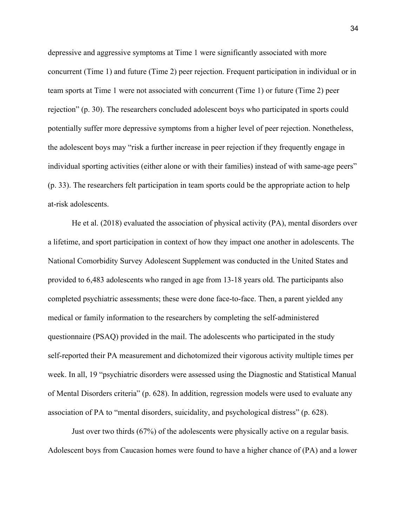depressive and aggressive symptoms at Time 1 were significantly associated with more concurrent (Time 1) and future (Time 2) peer rejection. Frequent participation in individual or in team sports at Time 1 were not associated with concurrent (Time 1) or future (Time 2) peer rejection" (p. 30). The researchers concluded adolescent boys who participated in sports could potentially suffer more depressive symptoms from a higher level of peer rejection. Nonetheless, the adolescent boys may "risk a further increase in peer rejection if they frequently engage in individual sporting activities (either alone or with their families) instead of with same-age peers" (p. 33). The researchers felt participation in team sports could be the appropriate action to help at-risk adolescents.

He et al. (2018) evaluated the association of physical activity (PA), mental disorders over a lifetime, and sport participation in context of how they impact one another in adolescents. The National Comorbidity Survey Adolescent Supplement was conducted in the United States and provided to 6,483 adolescents who ranged in age from 13-18 years old. The participants also completed psychiatric assessments; these were done face-to-face. Then, a parent yielded any medical or family information to the researchers by completing the self-administered questionnaire (PSAQ) provided in the mail. The adolescents who participated in the study self-reported their PA measurement and dichotomized their vigorous activity multiple times per week. In all, 19 "psychiatric disorders were assessed using the Diagnostic and Statistical Manual of Mental Disorders criteria" (p. 628). In addition, regression models were used to evaluate any association of PA to "mental disorders, suicidality, and psychological distress" (p. 628).

Just over two thirds (67%) of the adolescents were physically active on a regular basis. Adolescent boys from Caucasion homes were found to have a higher chance of (PA) and a lower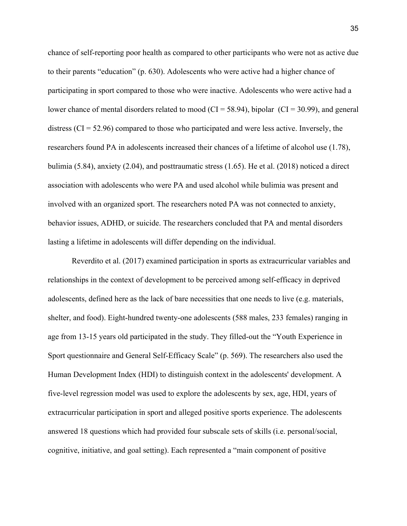chance of self-reporting poor health as compared to other participants who were not as active due to their parents "education" (p. 630). Adolescents who were active had a higher chance of participating in sport compared to those who were inactive. Adolescents who were active had a lower chance of mental disorders related to mood ( $CI = 58.94$ ), bipolar ( $CI = 30.99$ ), and general distress  $\left( \text{CI} = 52.96 \right)$  compared to those who participated and were less active. Inversely, the researchers found PA in adolescents increased their chances of a lifetime of alcohol use (1.78), bulimia (5.84), anxiety (2.04), and posttraumatic stress (1.65). He et al. (2018) noticed a direct association with adolescents who were PA and used alcohol while bulimia was present and involved with an organized sport. The researchers noted PA was not connected to anxiety, behavior issues, ADHD, or suicide. The researchers concluded that PA and mental disorders lasting a lifetime in adolescents will differ depending on the individual.

Reverdito et al. (2017) examined participation in sports as extracurricular variables and relationships in the context of development to be perceived among self-efficacy in deprived adolescents, defined here as the lack of bare necessities that one needs to live (e.g. materials, shelter, and food). Eight-hundred twenty-one adolescents (588 males, 233 females) ranging in age from 13-15 years old participated in the study. They filled-out the "Youth Experience in Sport questionnaire and General Self-Efficacy Scale" (p. 569). The researchers also used the Human Development Index (HDI) to distinguish context in the adolescents' development. A five-level regression model was used to explore the adolescents by sex, age, HDI, years of extracurricular participation in sport and alleged positive sports experience. The adolescents answered 18 questions which had provided four subscale sets of skills (i.e. personal/social, cognitive, initiative, and goal setting). Each represented a "main component of positive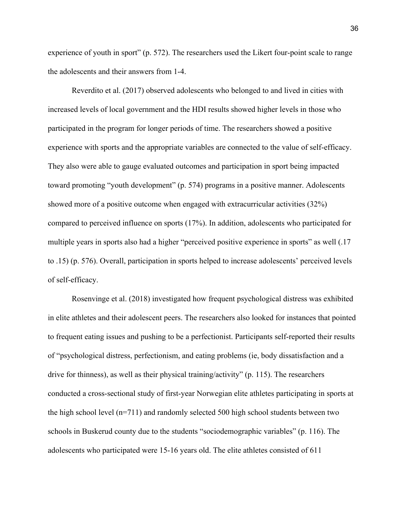experience of youth in sport" (p. 572). The researchers used the Likert four-point scale to range the adolescents and their answers from 1-4.

Reverdito et al. (2017) observed adolescents who belonged to and lived in cities with increased levels of local government and the HDI results showed higher levels in those who participated in the program for longer periods of time. The researchers showed a positive experience with sports and the appropriate variables are connected to the value of self-efficacy. They also were able to gauge evaluated outcomes and participation in sport being impacted toward promoting "youth development" (p. 574) programs in a positive manner. Adolescents showed more of a positive outcome when engaged with extracurricular activities (32%) compared to perceived influence on sports (17%). In addition, adolescents who participated for multiple years in sports also had a higher "perceived positive experience in sports" as well (.17 to .15) (p. 576). Overall, participation in sports helped to increase adolescents' perceived levels of self-efficacy.

Rosenvinge et al. (2018) investigated how frequent psychological distress was exhibited in elite athletes and their adolescent peers. The researchers also looked for instances that pointed to frequent eating issues and pushing to be a perfectionist. Participants self-reported their results of "psychological distress, perfectionism, and eating problems (ie, body dissatisfaction and a drive for thinness), as well as their physical training/activity" (p. 115). The researchers conducted a cross-sectional study of first-year Norwegian elite athletes participating in sports at the high school level (n=711) and randomly selected 500 high school students between two schools in Buskerud county due to the students "sociodemographic variables" (p. 116). The adolescents who participated were 15-16 years old. The elite athletes consisted of 611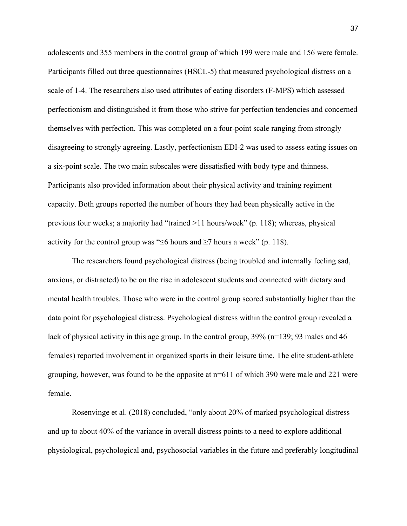adolescents and 355 members in the control group of which 199 were male and 156 were female. Participants filled out three questionnaires (HSCL-5) that measured psychological distress on a scale of 1-4. The researchers also used attributes of eating disorders (F-MPS) which assessed perfectionism and distinguished it from those who strive for perfection tendencies and concerned themselves with perfection. This was completed on a four-point scale ranging from strongly disagreeing to strongly agreeing. Lastly, perfectionism EDI-2 was used to assess eating issues on a six-point scale. The two main subscales were dissatisfied with body type and thinness. Participants also provided information about their physical activity and training regiment capacity. Both groups reported the number of hours they had been physically active in the previous four weeks; a majority had "trained >11 hours/week" (p. 118); whereas, physical activity for the control group was " $\leq$ 6 hours and  $\geq$ 7 hours a week" (p. 118).

The researchers found psychological distress (being troubled and internally feeling sad, anxious, or distracted) to be on the rise in adolescent students and connected with dietary and mental health troubles. Those who were in the control group scored substantially higher than the data point for psychological distress. Psychological distress within the control group revealed a lack of physical activity in this age group. In the control group, 39% (n=139; 93 males and 46 females) reported involvement in organized sports in their leisure time. The elite student-athlete grouping, however, was found to be the opposite at n=611 of which 390 were male and 221 were female.

Rosenvinge et al. (2018) concluded, "only about 20% of marked psychological distress and up to about 40% of the variance in overall distress points to a need to explore additional physiological, psychological and, psychosocial variables in the future and preferably longitudinal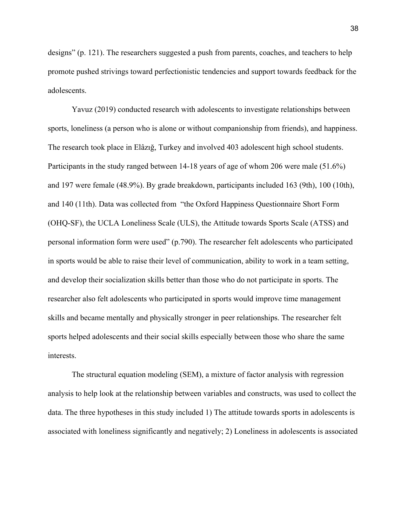designs" (p. 121). The researchers suggested a push from parents, coaches, and teachers to help promote pushed strivings toward perfectionistic tendencies and support towards feedback for the adolescents.

Yavuz (2019) conducted research with adolescents to investigate relationships between sports, loneliness (a person who is alone or without companionship from friends), and happiness. The research took place in Elâzığ, Turkey and involved 403 adolescent high school students. Participants in the study ranged between 14-18 years of age of whom 206 were male (51.6%) and 197 were female (48.9%). By grade breakdown, participants included 163 (9th), 100 (10th), and 140 (11th). Data was collected from "the Oxford Happiness Questionnaire Short Form (OHQ-SF), the UCLA Loneliness Scale (ULS), the Attitude towards Sports Scale (ATSS) and personal information form were used" (p.790). The researcher felt adolescents who participated in sports would be able to raise their level of communication, ability to work in a team setting, and develop their socialization skills better than those who do not participate in sports. The researcher also felt adolescents who participated in sports would improve time management skills and became mentally and physically stronger in peer relationships. The researcher felt sports helped adolescents and their social skills especially between those who share the same interests.

The structural equation modeling (SEM), a mixture of factor analysis with regression analysis to help look at the relationship between variables and constructs, was used to collect the data. The three hypotheses in this study included 1) The attitude towards sports in adolescents is associated with loneliness significantly and negatively; 2) Loneliness in adolescents is associated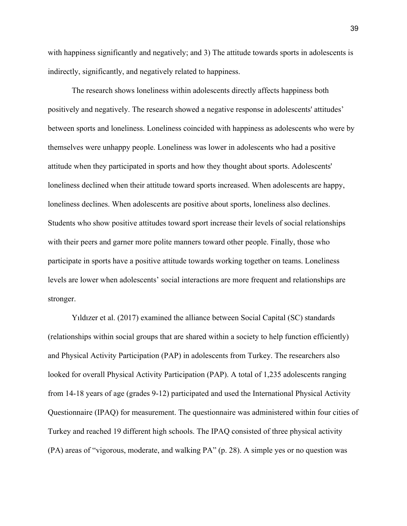with happiness significantly and negatively; and 3) The attitude towards sports in adolescents is indirectly, significantly, and negatively related to happiness.

The research shows loneliness within adolescents directly affects happiness both positively and negatively. The research showed a negative response in adolescents' attitudes' between sports and loneliness. Loneliness coincided with happiness as adolescents who were by themselves were unhappy people. Loneliness was lower in adolescents who had a positive attitude when they participated in sports and how they thought about sports. Adolescents' loneliness declined when their attitude toward sports increased. When adolescents are happy, loneliness declines. When adolescents are positive about sports, loneliness also declines. Students who show positive attitudes toward sport increase their levels of social relationships with their peers and garner more polite manners toward other people. Finally, those who participate in sports have a positive attitude towards working together on teams. Loneliness levels are lower when adolescents' social interactions are more frequent and relationships are stronger.

Yıldızer et al. (2017) examined the alliance between Social Capital (SC) standards (relationships within social groups that are shared within a society to help function efficiently) and Physical Activity Participation (PAP) in adolescents from Turkey. The researchers also looked for overall Physical Activity Participation (PAP). A total of 1,235 adolescents ranging from 14-18 years of age (grades 9-12) participated and used the International Physical Activity Questionnaire (IPAQ) for measurement. The questionnaire was administered within four cities of Turkey and reached 19 different high schools. The IPAQ consisted of three physical activity (PA) areas of "vigorous, moderate, and walking PA" (p. 28). A simple yes or no question was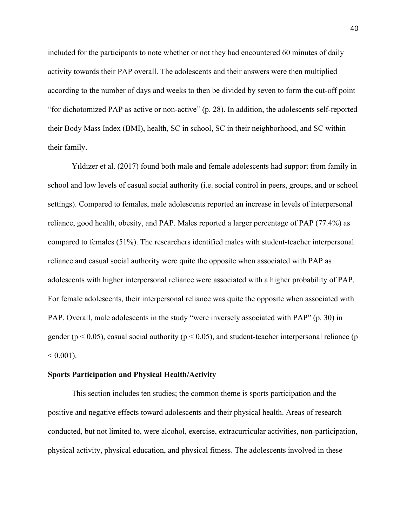included for the participants to note whether or not they had encountered 60 minutes of daily activity towards their PAP overall. The adolescents and their answers were then multiplied according to the number of days and weeks to then be divided by seven to form the cut-off point "for dichotomized PAP as active or non-active" (p. 28). In addition, the adolescents self-reported their Body Mass Index (BMI), health, SC in school, SC in their neighborhood, and SC within their family.

Yıldızer et al. (2017) found both male and female adolescents had support from family in school and low levels of casual social authority (i.e. social control in peers, groups, and or school settings). Compared to females, male adolescents reported an increase in levels of interpersonal reliance, good health, obesity, and PAP. Males reported a larger percentage of PAP (77.4%) as compared to females (51%). The researchers identified males with student-teacher interpersonal reliance and casual social authority were quite the opposite when associated with PAP as adolescents with higher interpersonal reliance were associated with a higher probability of PAP. For female adolescents, their interpersonal reliance was quite the opposite when associated with PAP. Overall, male adolescents in the study "were inversely associated with PAP" (p. 30) in gender ( $p < 0.05$ ), casual social authority ( $p < 0.05$ ), and student-teacher interpersonal reliance ( $p$ )  $< 0.001$ ).

#### **Sports Participation and Physical Health/Activity**

This section includes ten studies; the common theme is sports participation and the positive and negative effects toward adolescents and their physical health. Areas of research conducted, but not limited to, were alcohol, exercise, extracurricular activities, non-participation, physical activity, physical education, and physical fitness. The adolescents involved in these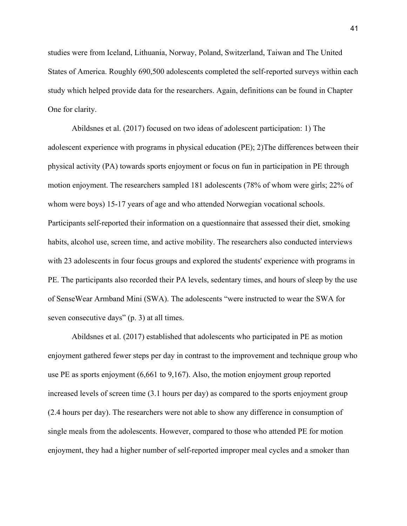studies were from Iceland, Lithuania, Norway, Poland, Switzerland, Taiwan and The United States of America. Roughly 690,500 adolescents completed the self-reported surveys within each study which helped provide data for the researchers. Again, definitions can be found in Chapter One for clarity.

Abildsnes et al. (2017) focused on two ideas of adolescent participation: 1) The adolescent experience with programs in physical education (PE); 2)The differences between their physical activity (PA) towards sports enjoyment or focus on fun in participation in PE through motion enjoyment. The researchers sampled 181 adolescents (78% of whom were girls; 22% of whom were boys) 15-17 years of age and who attended Norwegian vocational schools. Participants self-reported their information on a questionnaire that assessed their diet, smoking habits, alcohol use, screen time, and active mobility. The researchers also conducted interviews with 23 adolescents in four focus groups and explored the students' experience with programs in PE. The participants also recorded their PA levels, sedentary times, and hours of sleep by the use of SenseWear Armband Mini (SWA). The adolescents "were instructed to wear the SWA for seven consecutive days" (p. 3) at all times.

Abildsnes et al. (2017) established that adolescents who participated in PE as motion enjoyment gathered fewer steps per day in contrast to the improvement and technique group who use PE as sports enjoyment (6,661 to 9,167). Also, the motion enjoyment group reported increased levels of screen time (3.1 hours per day) as compared to the sports enjoyment group (2.4 hours per day). The researchers were not able to show any difference in consumption of single meals from the adolescents. However, compared to those who attended PE for motion enjoyment, they had a higher number of self-reported improper meal cycles and a smoker than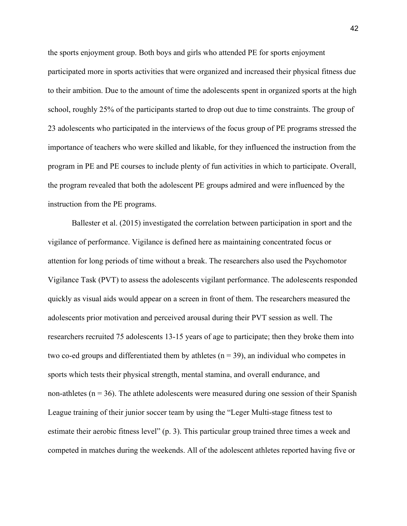the sports enjoyment group. Both boys and girls who attended PE for sports enjoyment participated more in sports activities that were organized and increased their physical fitness due to their ambition. Due to the amount of time the adolescents spent in organized sports at the high school, roughly 25% of the participants started to drop out due to time constraints. The group of 23 adolescents who participated in the interviews of the focus group of PE programs stressed the importance of teachers who were skilled and likable, for they influenced the instruction from the program in PE and PE courses to include plenty of fun activities in which to participate. Overall, the program revealed that both the adolescent PE groups admired and were influenced by the instruction from the PE programs.

Ballester et al. (2015) investigated the correlation between participation in sport and the vigilance of performance. Vigilance is defined here as maintaining concentrated focus or attention for long periods of time without a break. The researchers also used the Psychomotor Vigilance Task (PVT) to assess the adolescents vigilant performance. The adolescents responded quickly as visual aids would appear on a screen in front of them. The researchers measured the adolescents prior motivation and perceived arousal during their PVT session as well. The researchers recruited 75 adolescents 13-15 years of age to participate; then they broke them into two co-ed groups and differentiated them by athletes  $(n = 39)$ , an individual who competes in sports which tests their physical strength, mental stamina, and overall endurance, and non-athletes ( $n = 36$ ). The athlete adolescents were measured during one session of their Spanish League training of their junior soccer team by using the "Leger Multi-stage fitness test to estimate their aerobic fitness level" (p. 3). This particular group trained three times a week and competed in matches during the weekends. All of the adolescent athletes reported having five or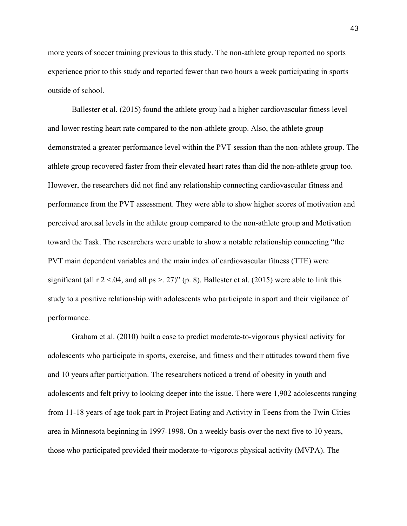more years of soccer training previous to this study. The non-athlete group reported no sports experience prior to this study and reported fewer than two hours a week participating in sports outside of school.

Ballester et al. (2015) found the athlete group had a higher cardiovascular fitness level and lower resting heart rate compared to the non-athlete group. Also, the athlete group demonstrated a greater performance level within the PVT session than the non-athlete group. The athlete group recovered faster from their elevated heart rates than did the non-athlete group too. However, the researchers did not find any relationship connecting cardiovascular fitness and performance from the PVT assessment. They were able to show higher scores of motivation and perceived arousal levels in the athlete group compared to the non-athlete group and Motivation toward the Task. The researchers were unable to show a notable relationship connecting "the PVT main dependent variables and the main index of cardiovascular fitness (TTE) were significant (all  $r$  2 <.04, and all  $ps > 27$ )" (p. 8). Ballester et al. (2015) were able to link this study to a positive relationship with adolescents who participate in sport and their vigilance of performance.

Graham et al. (2010) built a case to predict moderate-to-vigorous physical activity for adolescents who participate in sports, exercise, and fitness and their attitudes toward them five and 10 years after participation. The researchers noticed a trend of obesity in youth and adolescents and felt privy to looking deeper into the issue. There were 1,902 adolescents ranging from 11-18 years of age took part in Project Eating and Activity in Teens from the Twin Cities area in Minnesota beginning in 1997-1998. On a weekly basis over the next five to 10 years, those who participated provided their moderate-to-vigorous physical activity (MVPA). The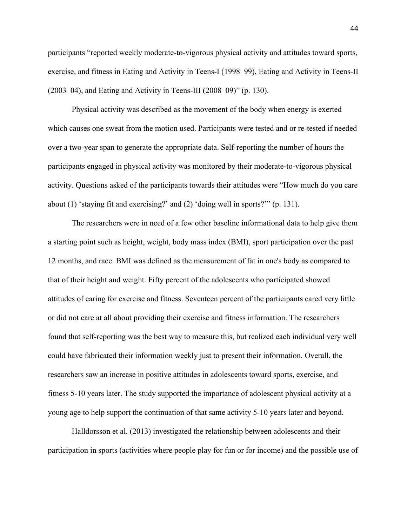participants "reported weekly moderate-to-vigorous physical activity and attitudes toward sports, exercise, and fitness in Eating and Activity in Teens-I (1998–99), Eating and Activity in Teens-II (2003–04), and Eating and Activity in Teens-III (2008–09)" (p. 130).

Physical activity was described as the movement of the body when energy is exerted which causes one sweat from the motion used. Participants were tested and or re-tested if needed over a two-year span to generate the appropriate data. Self-reporting the number of hours the participants engaged in physical activity was monitored by their moderate-to-vigorous physical activity. Questions asked of the participants towards their attitudes were "How much do you care about (1) 'staying fit and exercising?' and (2) 'doing well in sports?'" (p. 131).

The researchers were in need of a few other baseline informational data to help give them a starting point such as height, weight, body mass index (BMI), sport participation over the past 12 months, and race. BMI was defined as the measurement of fat in one's body as compared to that of their height and weight. Fifty percent of the adolescents who participated showed attitudes of caring for exercise and fitness. Seventeen percent of the participants cared very little or did not care at all about providing their exercise and fitness information. The researchers found that self-reporting was the best way to measure this, but realized each individual very well could have fabricated their information weekly just to present their information. Overall, the researchers saw an increase in positive attitudes in adolescents toward sports, exercise, and fitness 5-10 years later. The study supported the importance of adolescent physical activity at a young age to help support the continuation of that same activity 5-10 years later and beyond.

Halldorsson et al. (2013) investigated the relationship between adolescents and their participation in sports (activities where people play for fun or for income) and the possible use of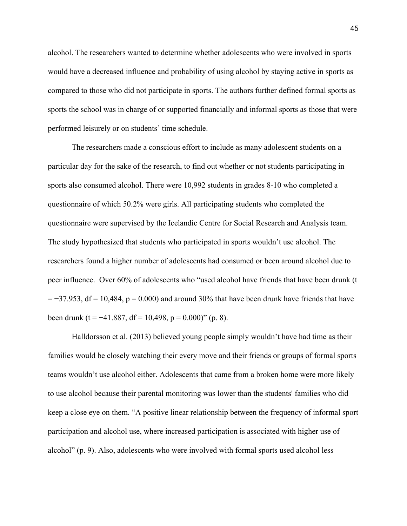alcohol. The researchers wanted to determine whether adolescents who were involved in sports would have a decreased influence and probability of using alcohol by staying active in sports as compared to those who did not participate in sports. The authors further defined formal sports as sports the school was in charge of or supported financially and informal sports as those that were performed leisurely or on students' time schedule.

The researchers made a conscious effort to include as many adolescent students on a particular day for the sake of the research, to find out whether or not students participating in sports also consumed alcohol. There were 10,992 students in grades 8-10 who completed a questionnaire of which 50.2% were girls. All participating students who completed the questionnaire were supervised by the Icelandic Centre for Social Research and Analysis team. The study hypothesized that students who participated in sports wouldn't use alcohol. The researchers found a higher number of adolescents had consumed or been around alcohol due to peer influence. Over 60% of adolescents who "used alcohol have friends that have been drunk (t  $=$  −37.953, df = 10,484, p = 0.000) and around 30% that have been drunk have friends that have been drunk (t =  $-41.887$ , df = 10,498, p = 0.000)" (p. 8).

Halldorsson et al. (2013) believed young people simply wouldn't have had time as their families would be closely watching their every move and their friends or groups of formal sports teams wouldn't use alcohol either. Adolescents that came from a broken home were more likely to use alcohol because their parental monitoring was lower than the students' families who did keep a close eye on them. "A positive linear relationship between the frequency of informal sport participation and alcohol use, where increased participation is associated with higher use of alcohol" (p. 9). Also, adolescents who were involved with formal sports used alcohol less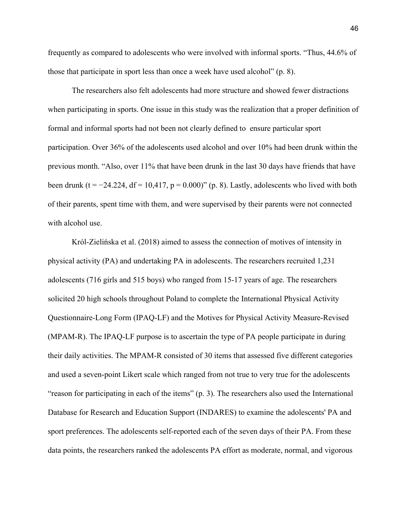frequently as compared to adolescents who were involved with informal sports. "Thus, 44.6% of those that participate in sport less than once a week have used alcohol" (p. 8).

The researchers also felt adolescents had more structure and showed fewer distractions when participating in sports. One issue in this study was the realization that a proper definition of formal and informal sports had not been not clearly defined to ensure particular sport participation. Over 36% of the adolescents used alcohol and over 10% had been drunk within the previous month. "Also, over 11% that have been drunk in the last 30 days have friends that have been drunk (t =  $-24.224$ , df = 10,417, p = 0.000)" (p. 8). Lastly, adolescents who lived with both of their parents, spent time with them, and were supervised by their parents were not connected with alcohol use.

Król-Zielińska et al. (2018) aimed to assess the connection of motives of intensity in physical activity (PA) and undertaking PA in adolescents. The researchers recruited 1,231 adolescents (716 girls and 515 boys) who ranged from 15-17 years of age. The researchers solicited 20 high schools throughout Poland to complete the International Physical Activity Questionnaire-Long Form (IPAQ-LF) and the Motives for Physical Activity Measure-Revised (MPAM-R). The IPAQ-LF purpose is to ascertain the type of PA people participate in during their daily activities. The MPAM-R consisted of 30 items that assessed five different categories and used a seven-point Likert scale which ranged from not true to very true for the adolescents "reason for participating in each of the items" (p. 3). The researchers also used the International Database for Research and Education Support (INDARES) to examine the adolescents' PA and sport preferences. The adolescents self-reported each of the seven days of their PA. From these data points, the researchers ranked the adolescents PA effort as moderate, normal, and vigorous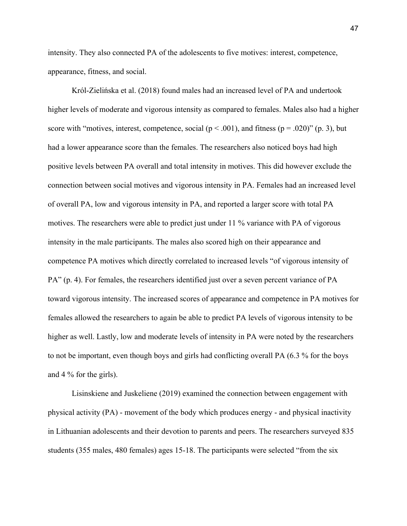intensity. They also connected PA of the adolescents to five motives: interest, competence, appearance, fitness, and social.

Król-Zielińska et al. (2018) found males had an increased level of PA and undertook higher levels of moderate and vigorous intensity as compared to females. Males also had a higher score with "motives, interest, competence, social ( $p < .001$ ), and fitness ( $p = .020$ )" (p. 3), but had a lower appearance score than the females. The researchers also noticed boys had high positive levels between PA overall and total intensity in motives. This did however exclude the connection between social motives and vigorous intensity in PA. Females had an increased level of overall PA, low and vigorous intensity in PA, and reported a larger score with total PA motives. The researchers were able to predict just under 11 % variance with PA of vigorous intensity in the male participants. The males also scored high on their appearance and competence PA motives which directly correlated to increased levels "of vigorous intensity of PA" (p. 4). For females, the researchers identified just over a seven percent variance of PA toward vigorous intensity. The increased scores of appearance and competence in PA motives for females allowed the researchers to again be able to predict PA levels of vigorous intensity to be higher as well. Lastly, low and moderate levels of intensity in PA were noted by the researchers to not be important, even though boys and girls had conflicting overall PA (6.3 % for the boys and 4 % for the girls).

Lisinskiene and Juskeliene (2019) examined the connection between engagement with physical activity (PA) - movement of the body which produces energy - and physical inactivity in Lithuanian adolescents and their devotion to parents and peers. The researchers surveyed 835 students (355 males, 480 females) ages 15-18. The participants were selected "from the six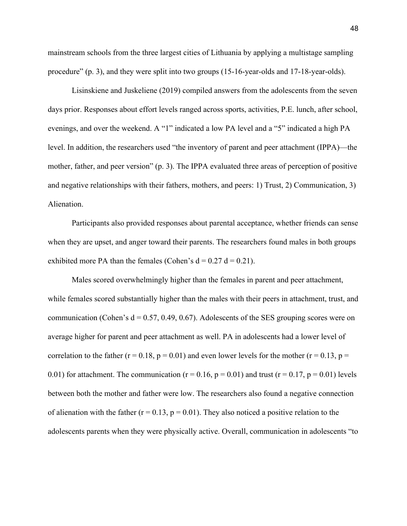mainstream schools from the three largest cities of Lithuania by applying a multistage sampling procedure" (p. 3), and they were split into two groups (15-16-year-olds and 17-18-year-olds).

Lisinskiene and Juskeliene (2019) compiled answers from the adolescents from the seven days prior. Responses about effort levels ranged across sports, activities, P.E. lunch, after school, evenings, and over the weekend. A "1" indicated a low PA level and a "5" indicated a high PA level. In addition, the researchers used "the inventory of parent and peer attachment (IPPA)—the mother, father, and peer version" (p. 3). The IPPA evaluated three areas of perception of positive and negative relationships with their fathers, mothers, and peers: 1) Trust, 2) Communication, 3) Alienation.

Participants also provided responses about parental acceptance, whether friends can sense when they are upset, and anger toward their parents. The researchers found males in both groups exhibited more PA than the females (Cohen's  $d = 0.27 d = 0.21$ ).

Males scored overwhelmingly higher than the females in parent and peer attachment, while females scored substantially higher than the males with their peers in attachment, trust, and communication (Cohen's  $d = 0.57, 0.49, 0.67$ ). Adolescents of the SES grouping scores were on average higher for parent and peer attachment as well. PA in adolescents had a lower level of correlation to the father ( $r = 0.18$ ,  $p = 0.01$ ) and even lower levels for the mother ( $r = 0.13$ ,  $p =$ 0.01) for attachment. The communication ( $r = 0.16$ ,  $p = 0.01$ ) and trust ( $r = 0.17$ ,  $p = 0.01$ ) levels between both the mother and father were low. The researchers also found a negative connection of alienation with the father ( $r = 0.13$ ,  $p = 0.01$ ). They also noticed a positive relation to the adolescents parents when they were physically active. Overall, communication in adolescents "to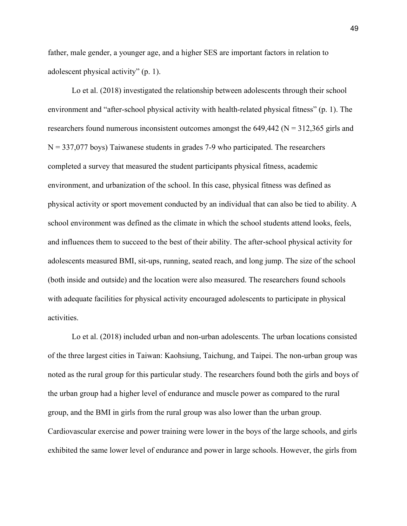father, male gender, a younger age, and a higher SES are important factors in relation to adolescent physical activity" (p. 1).

Lo et al. (2018) investigated the relationship between adolescents through their school environment and "after-school physical activity with health-related physical fitness" (p. 1). The researchers found numerous inconsistent outcomes amongst the  $649,442$  (N =  $312,365$  girls and  $N = 337,077$  boys) Taiwanese students in grades 7-9 who participated. The researchers completed a survey that measured the student participants physical fitness, academic environment, and urbanization of the school. In this case, physical fitness was defined as physical activity or sport movement conducted by an individual that can also be tied to ability. A school environment was defined as the climate in which the school students attend looks, feels, and influences them to succeed to the best of their ability. The after-school physical activity for adolescents measured BMI, sit-ups, running, seated reach, and long jump. The size of the school (both inside and outside) and the location were also measured. The researchers found schools with adequate facilities for physical activity encouraged adolescents to participate in physical activities.

Lo et al. (2018) included urban and non-urban adolescents. The urban locations consisted of the three largest cities in Taiwan: Kaohsiung, Taichung, and Taipei. The non-urban group was noted as the rural group for this particular study. The researchers found both the girls and boys of the urban group had a higher level of endurance and muscle power as compared to the rural group, and the BMI in girls from the rural group was also lower than the urban group. Cardiovascular exercise and power training were lower in the boys of the large schools, and girls exhibited the same lower level of endurance and power in large schools. However, the girls from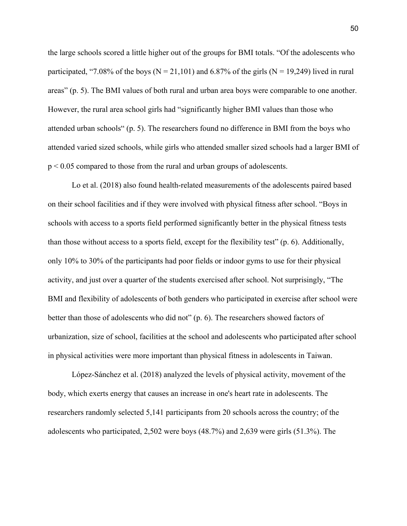the large schools scored a little higher out of the groups for BMI totals. "Of the adolescents who participated, "7.08% of the boys ( $N = 21,101$ ) and 6.87% of the girls ( $N = 19,249$ ) lived in rural areas" (p. 5). The BMI values of both rural and urban area boys were comparable to one another. However, the rural area school girls had "significantly higher BMI values than those who attended urban schools" (p. 5). The researchers found no difference in BMI from the boys who attended varied sized schools, while girls who attended smaller sized schools had a larger BMI of p < 0.05 compared to those from the rural and urban groups of adolescents.

Lo et al. (2018) also found health-related measurements of the adolescents paired based on their school facilities and if they were involved with physical fitness after school. "Boys in schools with access to a sports field performed significantly better in the physical fitness tests than those without access to a sports field, except for the flexibility test" (p. 6). Additionally, only 10% to 30% of the participants had poor fields or indoor gyms to use for their physical activity, and just over a quarter of the students exercised after school. Not surprisingly, "The BMI and flexibility of adolescents of both genders who participated in exercise after school were better than those of adolescents who did not" (p. 6). The researchers showed factors of urbanization, size of school, facilities at the school and adolescents who participated after school in physical activities were more important than physical fitness in adolescents in Taiwan.

López-Sánchez et al. (2018) analyzed the levels of physical activity, movement of the body, which exerts energy that causes an increase in one's heart rate in adolescents. The researchers randomly selected 5,141 participants from 20 schools across the country; of the adolescents who participated, 2,502 were boys (48.7%) and 2,639 were girls (51.3%). The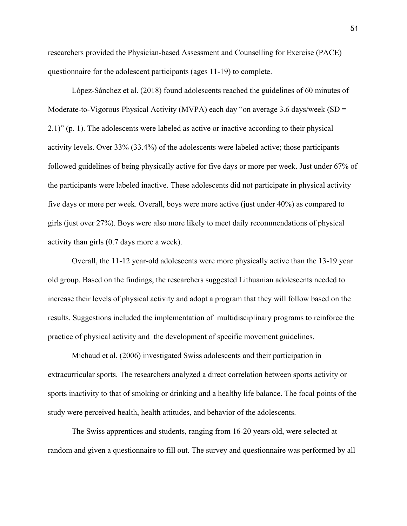researchers provided the Physician-based Assessment and Counselling for Exercise (PACE) questionnaire for the adolescent participants (ages 11-19) to complete.

López-Sánchez et al. (2018) found adolescents reached the guidelines of 60 minutes of Moderate-to-Vigorous Physical Activity (MVPA) each day "on average 3.6 days/week (SD = 2.1)" (p. 1). The adolescents were labeled as active or inactive according to their physical activity levels. Over 33% (33.4%) of the adolescents were labeled active; those participants followed guidelines of being physically active for five days or more per week. Just under 67% of the participants were labeled inactive. These adolescents did not participate in physical activity five days or more per week. Overall, boys were more active (just under 40%) as compared to girls (just over 27%). Boys were also more likely to meet daily recommendations of physical activity than girls (0.7 days more a week).

Overall, the 11-12 year-old adolescents were more physically active than the 13-19 year old group. Based on the findings, the researchers suggested Lithuanian adolescents needed to increase their levels of physical activity and adopt a program that they will follow based on the results. Suggestions included the implementation of multidisciplinary programs to reinforce the practice of physical activity and the development of specific movement guidelines.

Michaud et al. (2006) investigated Swiss adolescents and their participation in extracurricular sports. The researchers analyzed a direct correlation between sports activity or sports inactivity to that of smoking or drinking and a healthy life balance. The focal points of the study were perceived health, health attitudes, and behavior of the adolescents.

The Swiss apprentices and students, ranging from 16-20 years old, were selected at random and given a questionnaire to fill out. The survey and questionnaire was performed by all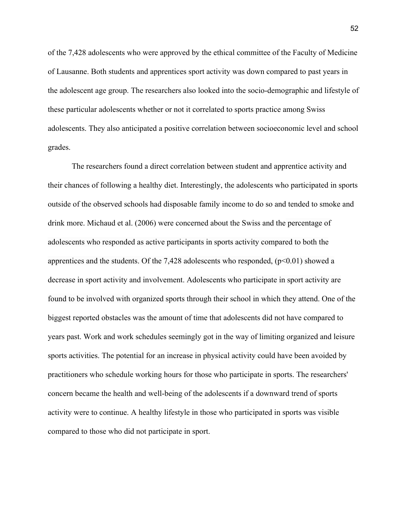of the 7,428 adolescents who were approved by the ethical committee of the Faculty of Medicine of Lausanne. Both students and apprentices sport activity was down compared to past years in the adolescent age group. The researchers also looked into the socio-demographic and lifestyle of these particular adolescents whether or not it correlated to sports practice among Swiss adolescents. They also anticipated a positive correlation between socioeconomic level and school grades.

The researchers found a direct correlation between student and apprentice activity and their chances of following a healthy diet. Interestingly, the adolescents who participated in sports outside of the observed schools had disposable family income to do so and tended to smoke and drink more. Michaud et al. (2006) were concerned about the Swiss and the percentage of adolescents who responded as active participants in sports activity compared to both the apprentices and the students. Of the 7,428 adolescents who responded,  $(p<0.01)$  showed a decrease in sport activity and involvement. Adolescents who participate in sport activity are found to be involved with organized sports through their school in which they attend. One of the biggest reported obstacles was the amount of time that adolescents did not have compared to years past. Work and work schedules seemingly got in the way of limiting organized and leisure sports activities. The potential for an increase in physical activity could have been avoided by practitioners who schedule working hours for those who participate in sports. The researchers' concern became the health and well-being of the adolescents if a downward trend of sports activity were to continue. A healthy lifestyle in those who participated in sports was visible compared to those who did not participate in sport.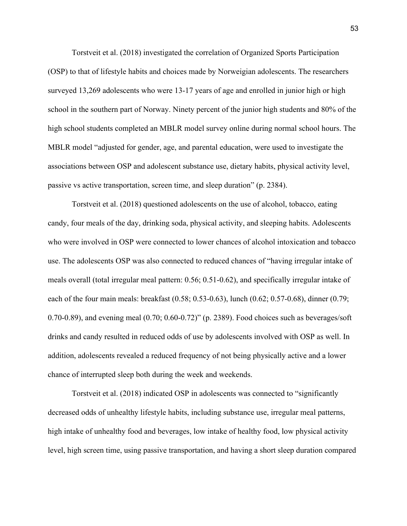Torstveit et al. (2018) investigated the correlation of Organized Sports Participation (OSP) to that of lifestyle habits and choices made by Norweigian adolescents. The researchers surveyed 13,269 adolescents who were 13-17 years of age and enrolled in junior high or high school in the southern part of Norway. Ninety percent of the junior high students and 80% of the high school students completed an MBLR model survey online during normal school hours. The MBLR model "adjusted for gender, age, and parental education, were used to investigate the associations between OSP and adolescent substance use, dietary habits, physical activity level, passive vs active transportation, screen time, and sleep duration" (p. 2384).

Torstveit et al. (2018) questioned adolescents on the use of alcohol, tobacco, eating candy, four meals of the day, drinking soda, physical activity, and sleeping habits. Adolescents who were involved in OSP were connected to lower chances of alcohol intoxication and tobacco use. The adolescents OSP was also connected to reduced chances of "having irregular intake of meals overall (total irregular meal pattern: 0.56; 0.51-0.62), and specifically irregular intake of each of the four main meals: breakfast (0.58; 0.53-0.63), lunch (0.62; 0.57-0.68), dinner (0.79; 0.70-0.89), and evening meal (0.70; 0.60-0.72)" (p. 2389). Food choices such as beverages/soft drinks and candy resulted in reduced odds of use by adolescents involved with OSP as well. In addition, adolescents revealed a reduced frequency of not being physically active and a lower chance of interrupted sleep both during the week and weekends.

Torstveit et al. (2018) indicated OSP in adolescents was connected to "significantly decreased odds of unhealthy lifestyle habits, including substance use, irregular meal patterns, high intake of unhealthy food and beverages, low intake of healthy food, low physical activity level, high screen time, using passive transportation, and having a short sleep duration compared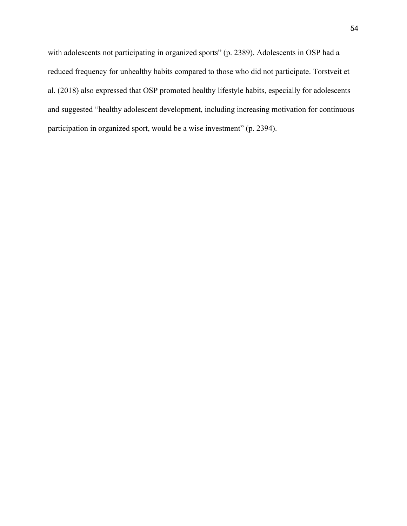with adolescents not participating in organized sports" (p. 2389). Adolescents in OSP had a reduced frequency for unhealthy habits compared to those who did not participate. Torstveit et al. (2018) also expressed that OSP promoted healthy lifestyle habits, especially for adolescents and suggested "healthy adolescent development, including increasing motivation for continuous participation in organized sport, would be a wise investment" (p. 2394).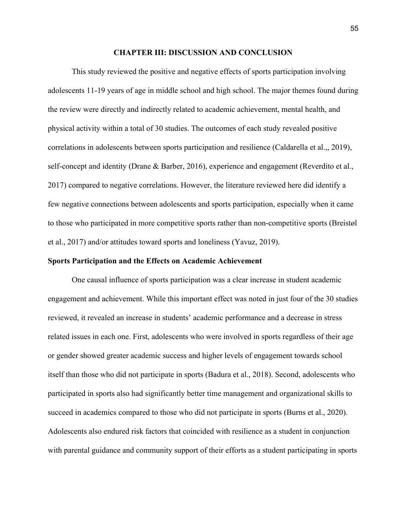#### **CHAPTER III: DISCUSSION AND CONCLUSION**

This study reviewed the positive and negative effects of sports participation involving adolescents 11-19 years of age in middle school and high school. The major themes found during the review were directly and indirectly related to academic achievement, mental health, and physical activity within a total of 30 studies. The outcomes of each study revealed positive correlations in adolescents between sports participation and resilience (Caldarella et al.,, 2019), self-concept and identity (Drane & Barber, 2016), experience and engagement (Reverdito et al., 2017) compared to negative correlations. However, the literature reviewed here did identify a few negative connections between adolescents and sports participation, especially when it came to those who participated in more competitive sports rather than non-competitive sports (Breistøl et al., 2017) and/or attitudes toward sports and loneliness (Yavuz, 2019).

## **Sports Participation and the Effects on Academic Achievement**

One causal influence of sports participation was a clear increase in student academic engagement and achievement. While this important effect was noted in just four of the 30 studies reviewed, it revealed an increase in students' academic performance and a decrease in stress related issues in each one. First, adolescents who were involved in sports regardless of their age or gender showed greater academic success and higher levels of engagement towards school itself than those who did not participate in sports (Badura et al., 2018). Second, adolescents who participated in sports also had significantly better time management and organizational skills to succeed in academics compared to those who did not participate in sports (Burns et al., 2020). Adolescents also endured risk factors that coincided with resilience as a student in conjunction with parental guidance and community support of their efforts as a student participating in sports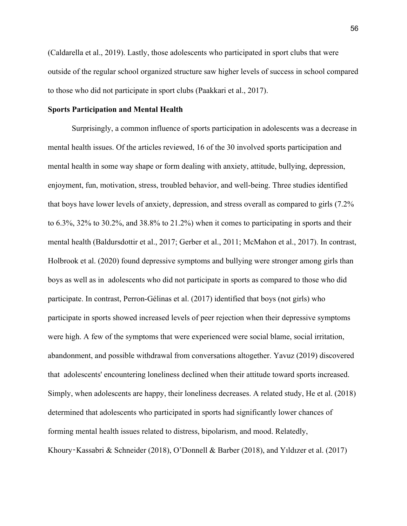(Caldarella et al., 2019). Lastly, those adolescents who participated in sport clubs that were outside of the regular school organized structure saw higher levels of success in school compared to those who did not participate in sport clubs (Paakkari et al., 2017).

# **Sports Participation and Mental Health**

Surprisingly, a common influence of sports participation in adolescents was a decrease in mental health issues. Of the articles reviewed, 16 of the 30 involved sports participation and mental health in some way shape or form dealing with anxiety, attitude, bullying, depression, enjoyment, fun, motivation, stress, troubled behavior, and well-being. Three studies identified that boys have lower levels of anxiety, depression, and stress overall as compared to girls (7.2% to 6.3%, 32% to 30.2%, and 38.8% to 21.2%) when it comes to participating in sports and their mental health (Baldursdottir et al., 2017; Gerber et al., 2011; McMahon et al., 2017). In contrast, Holbrook et al. (2020) found depressive symptoms and bullying were stronger among girls than boys as well as in adolescents who did not participate in sports as compared to those who did participate. In contrast, Perron-Gélinas et al. (2017) identified that boys (not girls) who participate in sports showed increased levels of peer rejection when their depressive symptoms were high. A few of the symptoms that were experienced were social blame, social irritation, abandonment, and possible withdrawal from conversations altogether. Yavuz (2019) discovered that adolescents' encountering loneliness declined when their attitude toward sports increased. Simply, when adolescents are happy, their loneliness decreases. A related study, He et al. (2018) determined that adolescents who participated in sports had significantly lower chances of forming mental health issues related to distress, bipolarism, and mood. Relatedly, Khoury‑Kassabri & Schneider (2018), O'Donnell & Barber (2018), and Yıldızer et al. (2017)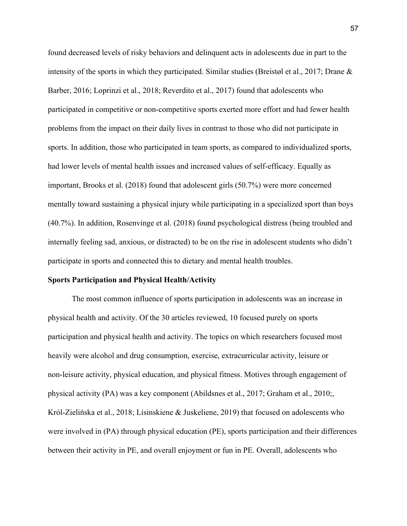found decreased levels of risky behaviors and delinquent acts in adolescents due in part to the intensity of the sports in which they participated. Similar studies (Breistøl et al., 2017; Drane & Barber, 2016; Loprinzi et al., 2018; Reverdito et al., 2017) found that adolescents who participated in competitive or non-competitive sports exerted more effort and had fewer health problems from the impact on their daily lives in contrast to those who did not participate in sports. In addition, those who participated in team sports, as compared to individualized sports, had lower levels of mental health issues and increased values of self-efficacy. Equally as important, Brooks et al. (2018) found that adolescent girls (50.7%) were more concerned mentally toward sustaining a physical injury while participating in a specialized sport than boys (40.7%). In addition, Rosenvinge et al. (2018) found psychological distress (being troubled and internally feeling sad, anxious, or distracted) to be on the rise in adolescent students who didn't participate in sports and connected this to dietary and mental health troubles.

#### **Sports Participation and Physical Health/Activity**

The most common influence of sports participation in adolescents was an increase in physical health and activity. Of the 30 articles reviewed, 10 focused purely on sports participation and physical health and activity. The topics on which researchers focused most heavily were alcohol and drug consumption, exercise, extracurricular activity, leisure or non-leisure activity, physical education, and physical fitness. Motives through engagement of physical activity (PA) was a key component (Abildsnes et al., 2017; Graham et al., 2010;, Król-Zielińska et al., 2018; Lisinskiene & Juskeliene, 2019) that focused on adolescents who were involved in (PA) through physical education (PE), sports participation and their differences between their activity in PE, and overall enjoyment or fun in PE. Overall, adolescents who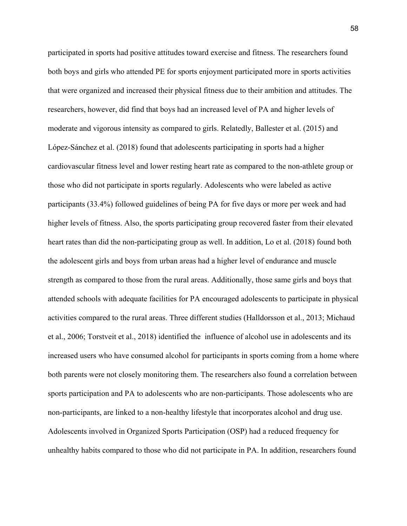participated in sports had positive attitudes toward exercise and fitness. The researchers found both boys and girls who attended PE for sports enjoyment participated more in sports activities that were organized and increased their physical fitness due to their ambition and attitudes. The researchers, however, did find that boys had an increased level of PA and higher levels of moderate and vigorous intensity as compared to girls. Relatedly, Ballester et al. (2015) and López-Sánchez et al. (2018) found that adolescents participating in sports had a higher cardiovascular fitness level and lower resting heart rate as compared to the non-athlete group or those who did not participate in sports regularly. Adolescents who were labeled as active participants (33.4%) followed guidelines of being PA for five days or more per week and had higher levels of fitness. Also, the sports participating group recovered faster from their elevated heart rates than did the non-participating group as well. In addition, Lo et al. (2018) found both the adolescent girls and boys from urban areas had a higher level of endurance and muscle strength as compared to those from the rural areas. Additionally, those same girls and boys that attended schools with adequate facilities for PA encouraged adolescents to participate in physical activities compared to the rural areas. Three different studies (Halldorsson et al., 2013; Michaud et al., 2006; Torstveit et al., 2018) identified the influence of alcohol use in adolescents and its increased users who have consumed alcohol for participants in sports coming from a home where both parents were not closely monitoring them. The researchers also found a correlation between sports participation and PA to adolescents who are non-participants. Those adolescents who are non-participants, are linked to a non-healthy lifestyle that incorporates alcohol and drug use. Adolescents involved in Organized Sports Participation (OSP) had a reduced frequency for unhealthy habits compared to those who did not participate in PA. In addition, researchers found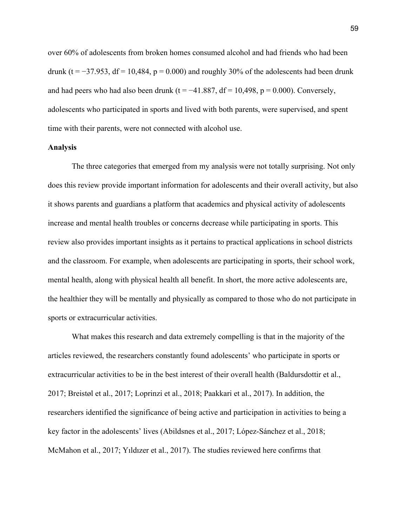over 60% of adolescents from broken homes consumed alcohol and had friends who had been drunk (t =  $-37.953$ , df = 10,484, p = 0.000) and roughly 30% of the adolescents had been drunk and had peers who had also been drunk (t = −41.887, df = 10,498, p = 0.000). Conversely, adolescents who participated in sports and lived with both parents, were supervised, and spent time with their parents, were not connected with alcohol use.

#### **Analysis**

The three categories that emerged from my analysis were not totally surprising. Not only does this review provide important information for adolescents and their overall activity, but also it shows parents and guardians a platform that academics and physical activity of adolescents increase and mental health troubles or concerns decrease while participating in sports. This review also provides important insights as it pertains to practical applications in school districts and the classroom. For example, when adolescents are participating in sports, their school work, mental health, along with physical health all benefit. In short, the more active adolescents are, the healthier they will be mentally and physically as compared to those who do not participate in sports or extracurricular activities.

What makes this research and data extremely compelling is that in the majority of the articles reviewed, the researchers constantly found adolescents' who participate in sports or extracurricular activities to be in the best interest of their overall health (Baldursdottir et al., 2017; Breistøl et al., 2017; Loprinzi et al., 2018; Paakkari et al., 2017). In addition, the researchers identified the significance of being active and participation in activities to being a key factor in the adolescents' lives (Abildsnes et al., 2017; López-Sánchez et al., 2018; McMahon et al., 2017; Yıldızer et al., 2017). The studies reviewed here confirms that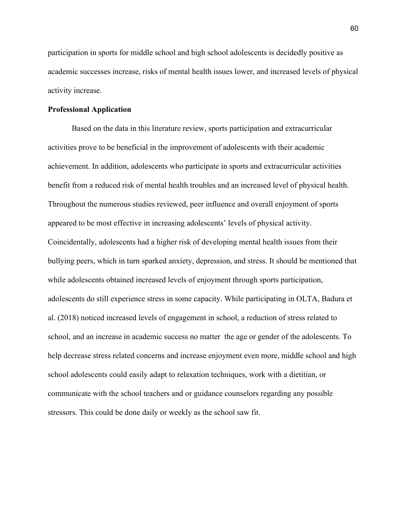participation in sports for middle school and high school adolescents is decidedly positive as academic successes increase, risks of mental health issues lower, and increased levels of physical activity increase.

#### **Professional Application**

Based on the data in this literature review, sports participation and extracurricular activities prove to be beneficial in the improvement of adolescents with their academic achievement. In addition, adolescents who participate in sports and extracurricular activities benefit from a reduced risk of mental health troubles and an increased level of physical health. Throughout the numerous studies reviewed, peer influence and overall enjoyment of sports appeared to be most effective in increasing adolescents' levels of physical activity. Coincidentally, adolescents had a higher risk of developing mental health issues from their bullying peers, which in turn sparked anxiety, depression, and stress. It should be mentioned that while adolescents obtained increased levels of enjoyment through sports participation, adolescents do still experience stress in some capacity. While participating in OLTA, Badura et al. (2018) noticed increased levels of engagement in school, a reduction of stress related to school, and an increase in academic success no matter the age or gender of the adolescents. To help decrease stress related concerns and increase enjoyment even more, middle school and high school adolescents could easily adapt to relaxation techniques, work with a dietitian, or communicate with the school teachers and or guidance counselors regarding any possible stressors. This could be done daily or weekly as the school saw fit.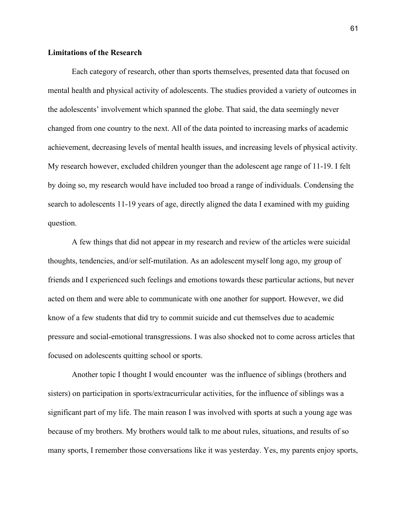## **Limitations of the Research**

Each category of research, other than sports themselves, presented data that focused on mental health and physical activity of adolescents. The studies provided a variety of outcomes in the adolescents' involvement which spanned the globe. That said, the data seemingly never changed from one country to the next. All of the data pointed to increasing marks of academic achievement, decreasing levels of mental health issues, and increasing levels of physical activity. My research however, excluded children younger than the adolescent age range of 11-19. I felt by doing so, my research would have included too broad a range of individuals. Condensing the search to adolescents 11-19 years of age, directly aligned the data I examined with my guiding question.

A few things that did not appear in my research and review of the articles were suicidal thoughts, tendencies, and/or self-mutilation. As an adolescent myself long ago, my group of friends and I experienced such feelings and emotions towards these particular actions, but never acted on them and were able to communicate with one another for support. However, we did know of a few students that did try to commit suicide and cut themselves due to academic pressure and social-emotional transgressions. I was also shocked not to come across articles that focused on adolescents quitting school or sports.

Another topic I thought I would encounter was the influence of siblings (brothers and sisters) on participation in sports/extracurricular activities, for the influence of siblings was a significant part of my life. The main reason I was involved with sports at such a young age was because of my brothers. My brothers would talk to me about rules, situations, and results of so many sports, I remember those conversations like it was yesterday. Yes, my parents enjoy sports,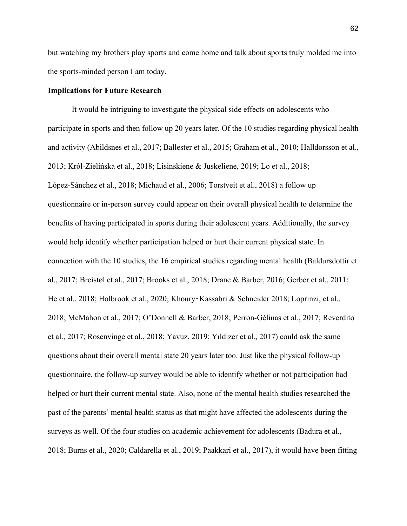but watching my brothers play sports and come home and talk about sports truly molded me into the sports-minded person I am today.

## **Implications for Future Research**

It would be intriguing to investigate the physical side effects on adolescents who participate in sports and then follow up 20 years later. Of the 10 studies regarding physical health and activity (Abildsnes et al., 2017; Ballester et al., 2015; Graham et al., 2010; Halldorsson et al., 2013; Król-Zielińska et al., 2018; Lisinskiene & Juskeliene, 2019; Lo et al., 2018; López-Sánchez et al., 2018; Michaud et al., 2006; Torstveit et al., 2018) a follow up questionnaire or in-person survey could appear on their overall physical health to determine the benefits of having participated in sports during their adolescent years. Additionally, the survey would help identify whether participation helped or hurt their current physical state. In connection with the 10 studies, the 16 empirical studies regarding mental health (Baldursdottir et al., 2017; Breistøl et al., 2017; Brooks et al., 2018; Drane & Barber, 2016; Gerber et al., 2011; He et al., 2018; Holbrook et al., 2020; Khoury-Kassabri & Schneider 2018; Loprinzi, et al., 2018; McMahon et al., 2017; O'Donnell & Barber, 2018; Perron-Gélinas et al., 2017; Reverdito et al., 2017; Rosenvinge et al., 2018; Yavuz, 2019; Yıldızer et al., 2017) could ask the same questions about their overall mental state 20 years later too. Just like the physical follow-up questionnaire, the follow-up survey would be able to identify whether or not participation had helped or hurt their current mental state. Also, none of the mental health studies researched the past of the parents' mental health status as that might have affected the adolescents during the surveys as well. Of the four studies on academic achievement for adolescents (Badura et al., 2018; Burns et al., 2020; Caldarella et al., 2019; Paakkari et al., 2017), it would have been fitting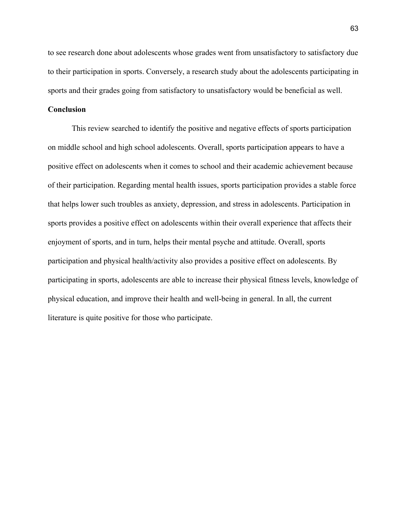to see research done about adolescents whose grades went from unsatisfactory to satisfactory due to their participation in sports. Conversely, a research study about the adolescents participating in sports and their grades going from satisfactory to unsatisfactory would be beneficial as well.

# **Conclusion**

This review searched to identify the positive and negative effects of sports participation on middle school and high school adolescents. Overall, sports participation appears to have a positive effect on adolescents when it comes to school and their academic achievement because of their participation. Regarding mental health issues, sports participation provides a stable force that helps lower such troubles as anxiety, depression, and stress in adolescents. Participation in sports provides a positive effect on adolescents within their overall experience that affects their enjoyment of sports, and in turn, helps their mental psyche and attitude. Overall, sports participation and physical health/activity also provides a positive effect on adolescents. By participating in sports, adolescents are able to increase their physical fitness levels, knowledge of physical education, and improve their health and well-being in general. In all, the current literature is quite positive for those who participate.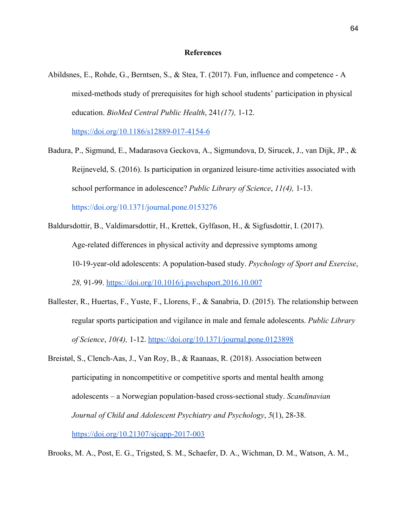#### **References**

Abildsnes, E., Rohde, G., Berntsen, S., & Stea, T. (2017). Fun, influence and competence - A mixed-methods study of prerequisites for high school students' participation in physical education. *BioMed Central Public Health*, 241*(17),* 1-12.

<https://doi.org/10.1186/s12889-017-4154-6>

Badura, P., Sigmund, E., Madarasova Geckova, A., Sigmundova, D, Sirucek, J., van Dijk, JP., & Reijneveld, S. (2016). Is participation in organized leisure-time activities associated with school performance in adolescence? *Public Library of Science*, *11(4),* 1-13.

<https://doi.org/10.1371/journal.pone.0153276>

- Baldursdottir, B., Valdimarsdottir, H., Krettek, Gylfason, H., & Sigfusdottir, I. (2017). Age-related differences in physical activity and depressive symptoms among 10-19-year-old adolescents: A population-based study. *Psychology of Sport and Exercise*, *28,* 91-99. <https://doi.org/10.1016/j.psychsport.2016.10.007>
- Ballester, R., Huertas, F., Yuste, F., Llorens, F., & Sanabria, D. (2015). The relationship between regular sports participation and vigilance in male and female adolescents. *Public Library of Science*, *10(4),* 1-12. <https://doi.org/10.1371/journal.pone.0123898>
- Breistøl, S., Clench-Aas, J., Van Roy, B., & Raanaas, R. (2018). Association between participating in noncompetitive or competitive sports and mental health among adolescents – a Norwegian population-based cross-sectional study. *Scandinavian Journal of Child and Adolescent Psychiatry and Psychology*, *5*(1), 28-38. <https://doi.org/10.21307/sjcapp-2017-003>

Brooks, M. A., Post, E. G., Trigsted, S. M., Schaefer, D. A., Wichman, D. M., Watson, A. M.,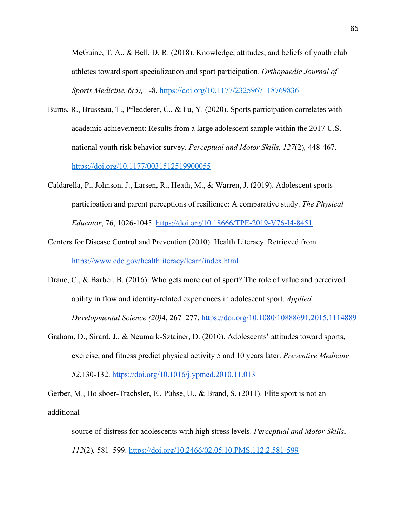McGuine, T. A., & Bell, D. R. (2018). Knowledge, attitudes, and beliefs of youth club athletes toward sport specialization and sport participation. *Orthopaedic Journal of Sports Medicine*, *6(5),* 1-8. [https://doi.org/10.1177/2325967118769836](https://doi.org/10.1177%2F2325967118769836)

- Burns, R., Brusseau, T., Pfledderer, C., & Fu, Y. (2020). Sports participation correlates with academic achievement: Results from a large adolescent sample within the 2017 U.S. national youth risk behavior survey. *Perceptual and Motor Skills*, *127*(2)*,* 448-467. [https://doi.org/10.1177/0031512519900055](https://doi.org/10.1177%2F0031512519900055)
- Caldarella, P., Johnson, J., Larsen, R., Heath, M., & Warren, J. (2019). Adolescent sports participation and parent perceptions of resilience: A comparative study. *The Physical Educator*, 76, 1026-1045. <https://doi.org/10.18666/TPE-2019-V76-I4-8451>
- Centers for Disease Control and Prevention (2010). Health Literacy. Retrieved from https://www.cdc.gov/healthliteracy/learn/index.html
- Drane, C., & Barber, B. (2016). Who gets more out of sport? The role of value and perceived ability in flow and identity-related experiences in adolescent sport. *Applied Developmental Science (20)*4, 267–277.<https://doi.org/10.1080/10888691.2015.1114889>
- Graham, D., Sirard, J., & Neumark-Sztainer, D. (2010). Adolescents' attitudes toward sports, exercise, and fitness predict physical activity 5 and 10 years later. *Preventive Medicine 52*,130-132. <https://doi.org/10.1016/j.ypmed.2010.11.013>

Gerber, M., Holsboer-Trachsler, E., Pühse, U., & Brand, S. (2011). Elite sport is not an additional

source of distress for adolescents with high stress levels. *Perceptual and Motor Skills*, *112*(2)*,* 581–599. [https://doi.org/10.2466/02.05.10.PMS.112.2.581-599](https://doi.org/10.2466%2F02.05.10.PMS.112.2.581-599)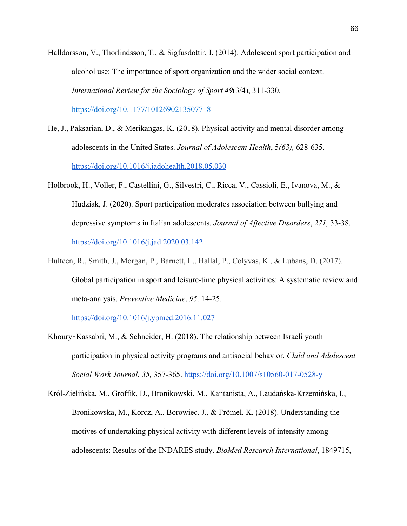Halldorsson, V., Thorlindsson, T., & Sigfusdottir, I. (2014). Adolescent sport participation and alcohol use: The importance of sport organization and the wider social context. *International Review for the Sociology of Sport 49*(3/4), 311-330.

[https://doi.org/10.1177/1012690213507718](https://doi.org/10.1177%2F1012690213507718)

- He, J., Paksarian, D., & Merikangas, K. (2018). Physical activity and mental disorder among adolescents in the United States. *Journal of Adolescent Health*, 5*(63),* 628-635. <https://doi.org/10.1016/j.jadohealth.2018.05.030>
- Holbrook, H., Voller, F., Castellini, G., Silvestri, C., Ricca, V., Cassioli, E., Ivanova, M., & Hudziak, J. (2020). Sport participation moderates association between bullying and depressive symptoms in Italian adolescents. *Journal of Affective Disorders*, *271,* 33-38. <https://doi.org/10.1016/j.jad.2020.03.142>
- Hulteen, R., Smith, J., Morgan, P., Barnett, L., Hallal, P., Colyvas, K., & Lubans, D. (2017). Global participation in sport and leisure-time physical activities: A systematic review and meta-analysis. *Preventive Medicine*, *95,* 14-25.

<https://doi.org/10.1016/j.ypmed.2016.11.027>

- Khoury‑Kassabri, M., & Schneider, H. (2018). The relationship between Israeli youth participation in physical activity programs and antisocial behavior. *Child and Adolescent Social Work Journal*, *35,* 357-365. <https://doi.org/10.1007/s10560-017-0528-y>
- Król-Zielińska, M., Groffik, D., Bronikowski, M., Kantanista, A., Laudańska-Krzemińska, I., Bronikowska, M., Korcz, A., Borowiec, J., & Frömel, K. (2018). Understanding the motives of undertaking physical activity with different levels of intensity among adolescents: Results of the INDARES study. *BioMed Research International*, 1849715,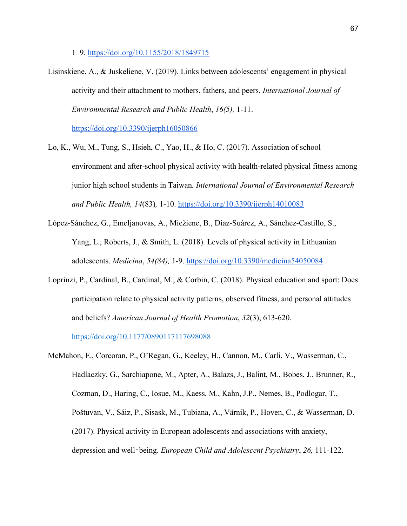1–9. <https://doi.org/10.1155/2018/1849715>

Lisinskiene, A., & Juskeliene, V. (2019). Links between adolescents' engagement in physical activity and their attachment to mothers, fathers, and peers. *International Journal of Environmental Research and Public Health*, *16(5),* 1-11.

<https://doi.org/10.3390/ijerph16050866>

- Lo, K., Wu, M., Tung, S., Hsieh, C., Yao, H., & Ho, C. (2017). Association of school environment and after-school physical activity with health-related physical fitness among junior high school students in Taiwan*. International Journal of Environmental Research and Public Health, 14*(83)*,* 1-10. <https://doi.org/10.3390/ijerph14010083>
- López-Sánchez, G., Emeljanovas, A., Miežiene, B., Díaz-Suárez, A., Sánchez-Castillo, S., Yang, L., Roberts, J., & Smith, L. (2018). Levels of physical activity in Lithuanian adolescents. *Medicina*, *54(84),* 1-9.<https://doi.org/10.3390/medicina54050084>
- Loprinzi, P., Cardinal, B., Cardinal, M., & Corbin, C. (2018). Physical education and sport: Does participation relate to physical activity patterns, observed fitness, and personal attitudes and beliefs? *American Journal of Health Promotion*, *32*(3), 613-620. [https://doi.org/10.1177/0890117117698088](https://doi.org/10.1177%2F0890117117698088)

McMahon, E., Corcoran, P., O'Regan, G., Keeley, H., Cannon, M., Carli, V., Wasserman, C., Hadlaczky, G., Sarchiapone, M., Apter, A., Balazs, J., Balint, M., Bobes, J., Brunner, R., Cozman, D., Haring, C., Iosue, M., Kaess, M., Kahn, J.P., Nemes, B., Podlogar, T., Poštuvan, V., Sáiz, P., Sisask, M., Tubiana, A., Värnik, P., Hoven, C., & Wasserman, D. (2017). Physical activity in European adolescents and associations with anxiety, depression and well‑being. *European Child and Adolescent Psychiatry*, *26,* 111-122.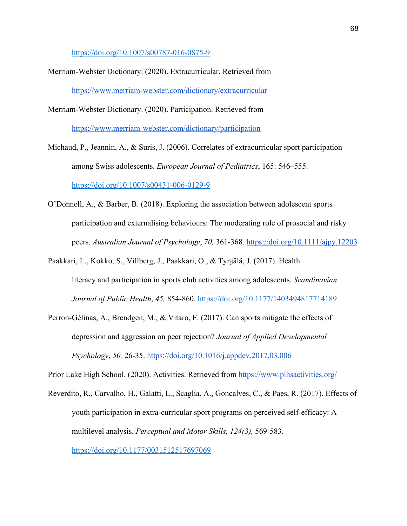<https://doi.org/10.1007/s00787-016-0875-9>

- Merriam-Webster Dictionary. (2020). Extracurricular. Retrieved from <https://www.merriam-webster.com/dictionary/extracurricular>
- Merriam-Webster Dictionary. (2020). Participation. Retrieved from <https://www.merriam-webster.com/dictionary/participation>

Michaud, P., Jeannin, A., & Suris, J. (2006). Correlates of extracurricular sport participation among Swiss adolescents. *European Journal of Pediatrics*, 165: 546–555. <https://doi.org/10.1007/s00431-006-0129-9>

- O'Donnell, A., & Barber, B. (2018). Exploring the association between adolescent sports participation and externalising behaviours: The moderating role of prosocial and risky peers. *Australian Journal of Psychology*, *70,* 361-368. <https://doi.org/10.1111/ajpy.12203>
- Paakkari, L., Kokko, S., Villberg, J., Paakkari, O., & Tynjälä, J. (2017). Health literacy and participation in sports club activities among adolescents. *Scandinavian Journal of Public Health*, *45,* 854-860. [https://doi.org/10.1177/1403494817714189](https://doi.org/10.1177%2F1403494817714189)
- Perron-Gélinas, A., Brendgen, M., & Vitaro, F. (2017). Can sports mitigate the effects of depression and aggression on peer rejection? *Journal of Applied Developmental Psychology*, *50,* 26-35. [https://doi.org/10.1016/j.appdev.2017.03.006](https://psycnet.apa.org/doi/10.1016/j.appdev.2017.03.006)

Prior Lake High School. (2020). Activities. Retrieved from <https://www.plhsactivities.org/>

Reverdito, R., Carvalho, H., Galatti, L., Scaglia, A., Goncalves, C., & Paes, R. (2017). Effects of youth participation in extra-curricular sport programs on perceived self-efficacy: A multilevel analysis. *Perceptual and Motor Skills, 124(3),* 569-583. [https://doi.org/10.1177/0031512517697069](https://doi.org/10.1177%2F0031512517697069)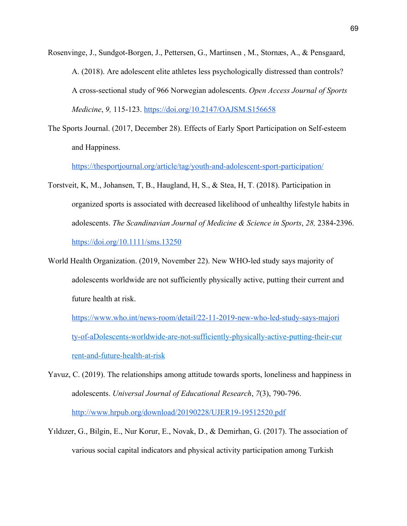- Rosenvinge, J., Sundgot-Borgen, J., Pettersen, G., Martinsen , M., Stornæs, A., & Pensgaard, A. (2018). Are adolescent elite athletes less psychologically distressed than controls? A cross-sectional study of 966 Norwegian adolescents. *Open Access Journal of Sports Medicine*, *9,* 115-123. <https://doi.org/10.2147/OAJSM.S156658>
- The Sports Journal. (2017, December 28). Effects of Early Sport Participation on Self-esteem and Happiness.

https://thesportjournal.org/article/tag/youth-and-adolescent-sport-participation/

- Torstveit, K, M., Johansen, T, B., Haugland, H, S., & Stea, H, T. (2018). Participation in organized sports is associated with decreased likelihood of unhealthy lifestyle habits in adolescents. *The Scandinavian Journal of Medicine & Science in Sports*, *28,* 2384-2396. <https://doi.org/10.1111/sms.13250>
- World Health Organization. (2019, November 22). New WHO-led study says majority of adolescents worldwide are not sufficiently physically active, putting their current and future health at risk.

[https://www.who.int/news-room/detail/22-11-2019-new-who-led-study-says-majori](https://www.who.int/news-room/detail/22-11-2019-new-who-led-study-says-majority-of-a) [ty-of-aD](https://www.who.int/news-room/detail/22-11-2019-new-who-led-study-says-majority-of-a)olescents-worldwide-are-not-sufficiently-physically-active-putting-their-cur rent-and-future-health-at-risk

- Yavuz, C. (2019). The relationships among attitude towards sports, loneliness and happiness in adolescents. *Universal Journal of Educational Research*, *7*(3), 790-796. <http://www.hrpub.org/download/20190228/UJER19-19512520.pdf>
- Yıldızer, G., Bilgin, E., Nur Korur, E., Novak, D., & Demirhan, G. (2017). The association of various social capital indicators and physical activity participation among Turkish